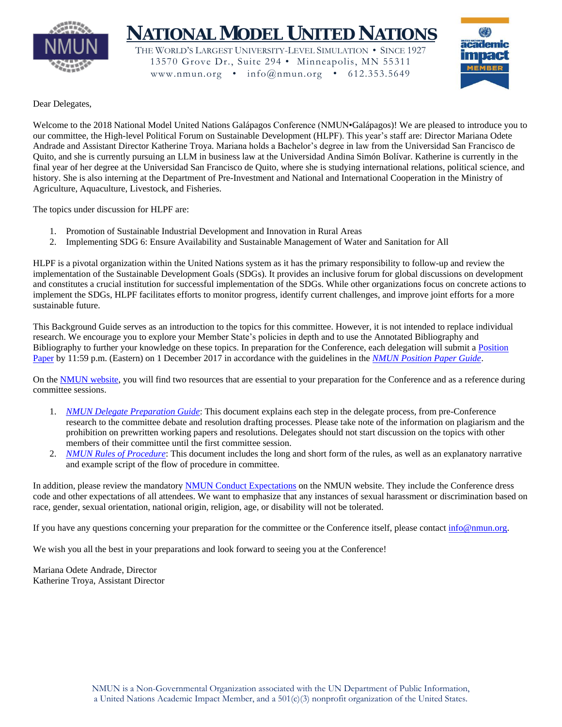

# **NATIONAL MODEL UNITED NATIONS**

THE WORLD'S LARGEST UNIVERSITY-LEVEL SIMULATION • SINCE 1927 13570 Grove Dr., Suite 294 • Minneapolis, MN 55311 www.nmun.org • info@nmun.org • 612.353.5649



Dear Delegates,

Welcome to the 2018 National Model United Nations Galápagos Conference (NMUN•Galápagos)! We are pleased to introduce you to our committee, the High-level Political Forum on Sustainable Development (HLPF). This year's staff are: Director Mariana Odete Andrade and Assistant Director Katherine Troya. Mariana holds a Bachelor's degree in law from the Universidad San Francisco de Quito, and she is currently pursuing an LLM in business law at the Universidad Andina Simón Bolívar. Katherine is currently in the final year of her degree at the Universidad San Francisco de Quito, where she is studying international relations, political science, and history. She is also interning at the Department of Pre-Investment and National and International Cooperation in the Ministry of Agriculture, Aquaculture, Livestock, and Fisheries.

The topics under discussion for HLPF are:

- 1. Promotion of Sustainable Industrial Development and Innovation in Rural Areas
- 2. Implementing SDG 6: Ensure Availability and Sustainable Management of Water and Sanitation for All

HLPF is a pivotal organization within the United Nations system as it has the primary responsibility to follow-up and review the implementation of the Sustainable Development Goals (SDGs). It provides an inclusive forum for global discussions on development and constitutes a crucial institution for successful implementation of the SDGs. While other organizations focus on concrete actions to implement the SDGs, HLPF facilitates efforts to monitor progress, identify current challenges, and improve joint efforts for a more sustainable future.

This Background Guide serves as an introduction to the topics for this committee. However, it is not intended to replace individual research. We encourage you to explore your Member State's policies in depth and to use the Annotated Bibliography and Bibliography to further your knowledge on these topics. In preparation for the Conference, each delegation will submit a Position [Paper](http://www.nmun.org/conferences/galapagos/prepare-for-committee/position-papers.html) by 11:59 p.m. (Eastern) on 1 December 2017 in accordance with the guidelines in the *[NMUN Position Paper Guide](http://www.nmun.org/assets/documents/NMUNPPGuide.pdf)*.

On the [NMUN website,](http://www.nmun.org/conferences/galapagos/prepare-for-committee/committee-materials.html) you will find two resources that are essential to your preparation for the Conference and as a reference during committee sessions.

- 1. *[NMUN Delegate Preparation Guide](http://www.nmun.org/assets/documents/NMUNDelegatePrepGuide.pdf)*: This document explains each step in the delegate process, from pre-Conference research to the committee debate and resolution drafting processes. Please take note of the information on plagiarism and the prohibition on prewritten working papers and resolutions. Delegates should not start discussion on the topics with other members of their committee until the first committee session.
- 2. *[NMUN Rules of Procedure](http://www.nmun.org/assets/documents/NMUNRules.pdf)*: This document includes the long and short form of the rules, as well as an explanatory narrative and example script of the flow of procedure in committee.

In addition, please review the mandatory [NMUN Conduct Expectations](http://www.nmun.org/conduct-expectations.html) on the NMUN website. They include the Conference dress code and other expectations of all attendees. We want to emphasize that any instances of sexual harassment or discrimination based on race, gender, sexual orientation, national origin, religion, age, or disability will not be tolerated.

If you have any questions concerning your preparation for the committee or the Conference itself, please contact [info@nmun.org.](mailto:info@nmun.org)

We wish you all the best in your preparations and look forward to seeing you at the Conference!

Mariana Odete Andrade, Director Katherine Troya, Assistant Director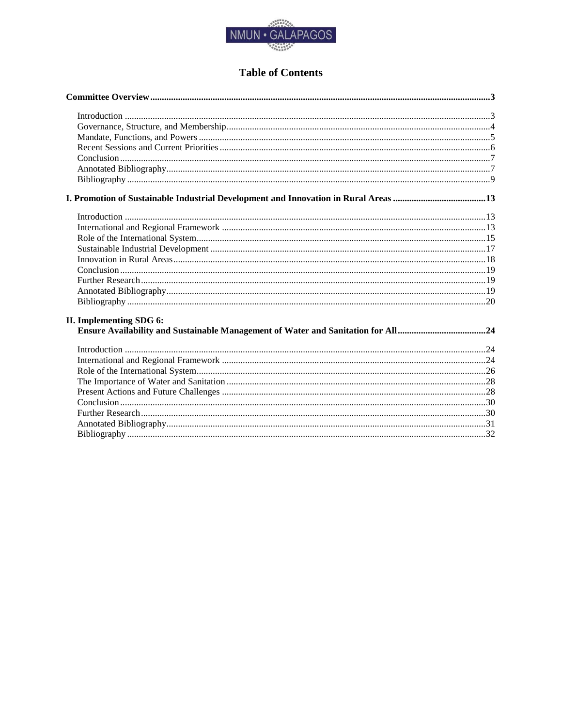

# **Table of Contents**

| I. Promotion of Sustainable Industrial Development and Innovation in Rural Areas 13 |  |
|-------------------------------------------------------------------------------------|--|
|                                                                                     |  |
|                                                                                     |  |
|                                                                                     |  |
|                                                                                     |  |
|                                                                                     |  |
|                                                                                     |  |
|                                                                                     |  |
|                                                                                     |  |
|                                                                                     |  |
| II. Implementing SDG 6:                                                             |  |
|                                                                                     |  |
|                                                                                     |  |
|                                                                                     |  |
|                                                                                     |  |
|                                                                                     |  |
|                                                                                     |  |
|                                                                                     |  |
|                                                                                     |  |
|                                                                                     |  |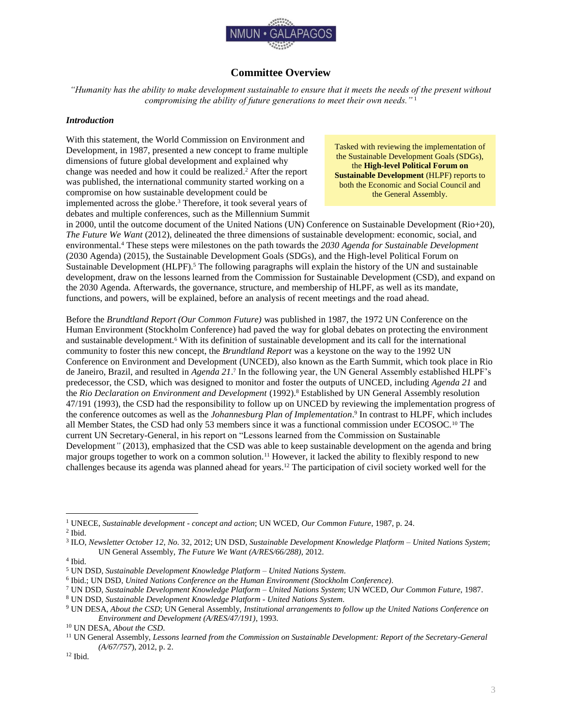

# **Committee Overview**

<span id="page-2-0"></span>*"Humanity has the ability to make development sustainable to ensure that it meets the needs of the present without compromising the ability of future generations to meet their own needs."* <sup>1</sup>

#### <span id="page-2-1"></span>*Introduction*

With this statement, the World Commission on Environment and Development, in 1987, presented a new concept to frame multiple dimensions of future global development and explained why change was needed and how it could be realized.<sup>2</sup> After the report was published, the international community started working on a compromise on how sustainable development could be implemented across the globe.<sup>3</sup> Therefore, it took several years of debates and multiple conferences, such as the Millennium Summit

Tasked with reviewing the implementation of the Sustainable Development Goals (SDGs), the **High-level Political Forum on Sustainable Development** (HLPF) reports to both the Economic and Social Council and the General Assembly.

in 2000, until the outcome document of the United Nations (UN) Conference on Sustainable Development (Rio+20), *The Future We Want* (2012), delineated the three dimensions of sustainable development: economic, social, and environmental.<sup>4</sup> These steps were milestones on the path towards the *2030 Agenda for Sustainable Development*  (2030 Agenda) (2015), the Sustainable Development Goals (SDGs), and the High-level Political Forum on Sustainable Development (HLPF).<sup>5</sup> The following paragraphs will explain the history of the UN and sustainable development, draw on the lessons learned from the Commission for Sustainable Development (CSD), and expand on the 2030 Agenda*.* Afterwards, the governance, structure, and membership of HLPF, as well as its mandate, functions, and powers, will be explained, before an analysis of recent meetings and the road ahead.

Before the *Brundtland Report (Our Common Future)* was published in 1987, the 1972 UN Conference on the Human Environment (Stockholm Conference) had paved the way for global debates on protecting the environment and sustainable development.<sup>6</sup> With its definition of sustainable development and its call for the international community to foster this new concept, the *Brundtland Report* was a keystone on the way to the 1992 UN Conference on Environment and Development (UNCED), also known as the Earth Summit, which took place in Rio de Janeiro, Brazil, and resulted in *Agenda 21*. 7 In the following year, the UN General Assembly established HLPF's predecessor, the CSD, which was designed to monitor and foster the outputs of UNCED, including *Agenda 21* and the *Rio Declaration on Environment and Development* (1992).<sup>8</sup> Established by UN General Assembly resolution 47/191 (1993), the CSD had the responsibility to follow up on UNCED by reviewing the implementation progress of the conference outcomes as well as the *Johannesburg Plan of Implementation*. 9 In contrast to HLPF, which includes all Member States, the CSD had only 53 members since it was a functional commission under ECOSOC.<sup>10</sup> The current UN Secretary-General, in his report on "Lessons learned from the Commission on Sustainable Development*"* (2013), emphasized that the CSD was able to keep sustainable development on the agenda and bring major groups together to work on a common solution.<sup>11</sup> However, it lacked the ability to flexibly respond to new challenges because its agenda was planned ahead for years.<sup>12</sup> The participation of civil society worked well for the

<sup>1</sup> UNECE, *Sustainable development - concept and action*; UN WCED, *Our Common Future*, 1987, p. 24.

 $<sup>2</sup>$  Ibid.</sup>

<sup>3</sup> ILO, *Newsletter October 12, No.* 32, 2012; UN DSD, *Sustainable Development Knowledge Platform – United Nations System*; UN General Assembly, *The Future We Want (A/RES/66/288)*, 2012.

<sup>4</sup> Ibid.

<sup>5</sup> UN DSD, *Sustainable Development Knowledge Platform – United Nations System*.

<sup>6</sup> Ibid.; UN DSD, *United Nations Conference on the Human Environment (Stockholm Conference)*.

<sup>7</sup> UN DSD, *Sustainable Development Knowledge Platform – United Nations System*; UN WCED, *Our Common Future*, 1987.

<sup>8</sup> UN DSD, *Sustainable Development Knowledge Platform - United Nations System*.

<sup>9</sup> UN DESA, *About the CSD*; UN General Assembly, *Institutional arrangements to follow up the United Nations Conference on Environment and Development (A/RES/47/191)*, 1993.

<sup>10</sup> UN DESA, *About the CSD*.

<sup>11</sup> UN General Assembly, *Lessons learned from the Commission on Sustainable Development: Report of the Secretary-General (A/67/757*), 2012, p. 2.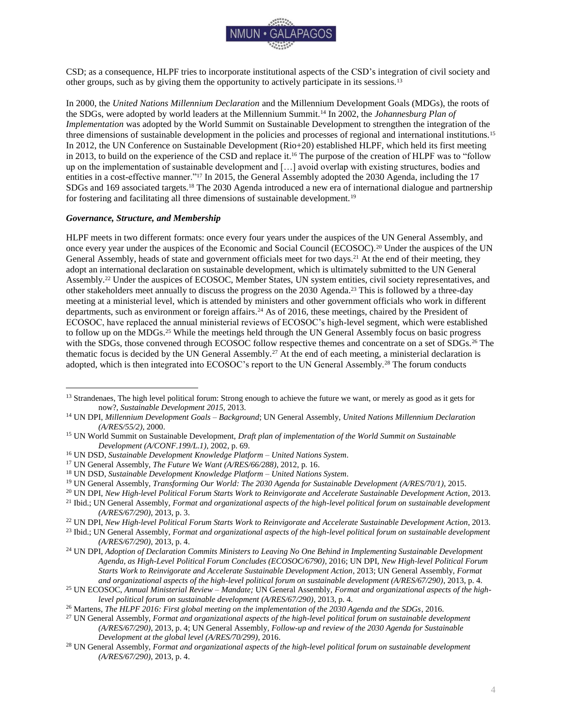

CSD; as a consequence, HLPF tries to incorporate institutional aspects of the CSD's integration of civil society and other groups, such as by giving them the opportunity to actively participate in its sessions.<sup>13</sup>

In 2000, the *United Nations Millennium Declaration* and the Millennium Development Goals (MDGs), the roots of the SDGs, were adopted by world leaders at the Millennium Summit.<sup>14</sup> In 2002, the *Johannesburg Plan of Implementation* was adopted by the World Summit on Sustainable Development to strengthen the integration of the three dimensions of sustainable development in the policies and processes of regional and international institutions.<sup>15</sup> In 2012, the UN Conference on Sustainable Development (Rio+20) established HLPF, which held its first meeting in 2013, to build on the experience of the CSD and replace it. <sup>16</sup> The purpose of the creation of HLPF was to "follow up on the implementation of sustainable development and […] avoid overlap with existing structures, bodies and entities in a cost-effective manner."<sup>17</sup> In 2015, the General Assembly adopted the 2030 Agenda, including the 17 SDGs and 169 associated targets.<sup>18</sup> The 2030 Agenda introduced a new era of international dialogue and partnership for fostering and facilitating all three dimensions of sustainable development.<sup>19</sup>

#### <span id="page-3-0"></span>*Governance, Structure, and Membership*

 $\overline{a}$ 

HLPF meets in two different formats: once every four years under the auspices of the UN General Assembly, and once every year under the auspices of the Economic and Social Council (ECOSOC).<sup>20</sup> Under the auspices of the UN General Assembly, heads of state and government officials meet for two days.<sup>21</sup> At the end of their meeting, they adopt an international declaration on sustainable development, which is ultimately submitted to the UN General Assembly.<sup>22</sup> Under the auspices of ECOSOC, Member States, UN system entities, civil society representatives, and other stakeholders meet annually to discuss the progress on the 2030 Agenda.<sup>23</sup> This is followed by a three-day meeting at a ministerial level, which is attended by ministers and other government officials who work in different departments, such as environment or foreign affairs.<sup>24</sup> As of 2016, these meetings, chaired by the President of ECOSOC, have replaced the annual ministerial reviews of ECOSOC's high-level segment, which were established to follow up on the MDGs.<sup>25</sup> While the meetings held through the UN General Assembly focus on basic progress with the SDGs, those convened through ECOSOC follow respective themes and concentrate on a set of SDGs.<sup>26</sup> The thematic focus is decided by the UN General Assembly.<sup>27</sup> At the end of each meeting, a ministerial declaration is adopted, which is then integrated into ECOSOC's report to the UN General Assembly.<sup>28</sup> The forum conducts

<sup>&</sup>lt;sup>13</sup> Strandenaes, The high level political forum: Strong enough to achieve the future we want, or merely as good as it gets for now?, *Sustainable Development 2015,* 2013.

<sup>14</sup> UN DPI, *Millennium Development Goals – Background*; UN General Assembly, *United Nations Millennium Declaration (A/RES/55/2)*, 2000.

<sup>15</sup> UN World Summit on Sustainable Development, *Draft plan of implementation of the World Summit on Sustainable Development (A/CONF.199/L.1)*, 2002, p. 69.

<sup>16</sup> UN DSD, *Sustainable Development Knowledge Platform – United Nations System*.

<sup>17</sup> UN General Assembly, *The Future We Want (A/RES/66/288)*, 2012, p. 16.

<sup>18</sup> UN DSD, *Sustainable Development Knowledge Platform – United Nations System*.

<sup>19</sup> UN General Assembly, *Transforming Our World: The 2030 Agenda for Sustainable Development (A/RES/70/1)*, 2015.

<sup>20</sup> UN DPI, *New High‐level Political Forum Starts Work to Reinvigorate and Accelerate Sustainable Development Action*, 2013.

<sup>21</sup> Ibid.; UN General Assembly, *Format and organizational aspects of the high-level political forum on sustainable development (A/RES/67/290)*, 2013, p. 3.

<sup>22</sup> UN DPI, *New High‐level Political Forum Starts Work to Reinvigorate and Accelerate Sustainable Development Action*, 2013.

<sup>23</sup> Ibid.; UN General Assembly, *Format and organizational aspects of the high-level political forum on sustainable development (A/RES/67/290)*, 2013, p. 4.

<sup>24</sup> UN DPI, *Adoption of Declaration Commits Ministers to Leaving No One Behind in Implementing Sustainable Development Agenda, as High-Level Political Forum Concludes (ECOSOC/6790)*, 2016; UN DPI, *New High‐level Political Forum Starts Work to Reinvigorate and Accelerate Sustainable Development Action*, 2013; UN General Assembly, *Format and organizational aspects of the high-level political forum on sustainable development (A/RES/67/290)*, 2013, p. 4.

<sup>25</sup> UN ECOSOC, *Annual Ministerial Review – Mandate;* UN General Assembly, *Format and organizational aspects of the highlevel political forum on sustainable development (A/RES/67/290)*, 2013, p. 4.

<sup>26</sup> Martens, *The HLPF 2016: First global meeting on the implementation of the 2030 Agenda and the SDGs*, 2016.

<sup>27</sup> UN General Assembly, *Format and organizational aspects of the high-level political forum on sustainable development (A/RES/67/290)*, 2013, p. 4; UN General Assembly*, Follow-up and review of the 2030 Agenda for Sustainable Development at the global level (A/RES/70/299)*, 2016.

<sup>28</sup> UN General Assembly, *Format and organizational aspects of the high-level political forum on sustainable development (A/RES/67/290)*, 2013, p. 4.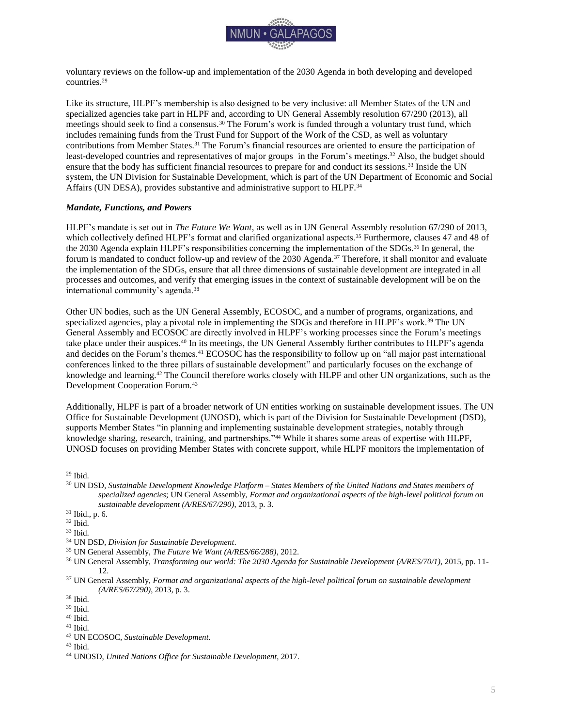

voluntary reviews on the follow-up and implementation of the 2030 Agenda in both developing and developed countries.<sup>29</sup>

Like its structure, HLPF's membership is also designed to be very inclusive: all Member States of the UN and specialized agencies take part in HLPF and, according to UN General Assembly resolution 67/290 (2013), all meetings should seek to find a consensus.<sup>30</sup> The Forum's work is funded through a voluntary trust fund, which includes remaining funds from the Trust Fund for Support of the Work of the CSD, as well as voluntary contributions from Member States.<sup>31</sup> The Forum's financial resources are oriented to ensure the participation of least-developed countries and representatives of major groups in the Forum's meetings.<sup>32</sup> Also, the budget should ensure that the body has sufficient financial resources to prepare for and conduct its sessions.<sup>33</sup> Inside the UN system, the UN Division for Sustainable Development, which is part of the UN Department of Economic and Social Affairs (UN DESA), provides substantive and administrative support to HLPF.<sup>34</sup>

# <span id="page-4-0"></span>*Mandate, Functions, and Powers*

HLPF's mandate is set out in *The Future We Want*, as well as in UN General Assembly resolution 67/290 of 2013, which collectively defined HLPF's format and clarified organizational aspects.<sup>35</sup> Furthermore, clauses 47 and 48 of the 2030 Agenda explain HLPF's responsibilities concerning the implementation of the SDGs.<sup>36</sup> In general, the forum is mandated to conduct follow-up and review of the 2030 Agenda.<sup>37</sup> Therefore, it shall monitor and evaluate the implementation of the SDGs, ensure that all three dimensions of sustainable development are integrated in all processes and outcomes, and verify that emerging issues in the context of sustainable development will be on the international community's agenda.<sup>38</sup>

Other UN bodies, such as the UN General Assembly, ECOSOC, and a number of programs, organizations, and specialized agencies, play a pivotal role in implementing the SDGs and therefore in HLPF's work.<sup>39</sup> The UN General Assembly and ECOSOC are directly involved in HLPF's working processes since the Forum's meetings take place under their auspices.<sup>40</sup> In its meetings, the UN General Assembly further contributes to HLPF's agenda and decides on the Forum's themes.<sup>41</sup> ECOSOC has the responsibility to follow up on "all major past international conferences linked to the three pillars of sustainable development" and particularly focuses on the exchange of knowledge and learning.<sup>42</sup> The Council therefore works closely with HLPF and other UN organizations, such as the Development Cooperation Forum.<sup>43</sup>

Additionally, HLPF is part of a broader network of UN entities working on sustainable development issues. The UN Office for Sustainable Development (UNOSD), which is part of the Division for Sustainable Development (DSD), supports Member States "in planning and implementing sustainable development strategies, notably through knowledge sharing, research, training, and partnerships."<sup>44</sup> While it shares some areas of expertise with HLPF, UNOSD focuses on providing Member States with concrete support, while HLPF monitors the implementation of

<sup>29</sup> Ibid.

<sup>30</sup> UN DSD, *Sustainable Development Knowledge Platform – States Members of the United Nations and States members of specialized agencies*; UN General Assembly, *Format and organizational aspects of the high-level political forum on sustainable development (A/RES/67/290)*, 2013, p. 3.

<sup>31</sup> Ibid., p. 6.

<sup>32</sup> Ibid.

<sup>33</sup> Ibid.

<sup>34</sup> UN DSD, *Division for Sustainable Development*.

<sup>35</sup> UN General Assembly, *The Future We Want (A/RES/66/288)*, 2012.

<sup>36</sup> UN General Assembly, *Transforming our world: The 2030 Agenda for Sustainable Development (A/RES/70/1),* 2015, pp. 11- 12.

<sup>37</sup> UN General Assembly, *Format and organizational aspects of the high-level political forum on sustainable development (A/RES/67/290)*, 2013, p. 3.

<sup>38</sup> Ibid.

<sup>39</sup> Ibid.

 $\,$  40 Ibid.

<sup>41</sup> Ibid.

<sup>42</sup> UN ECOSOC, *Sustainable Development.*

<sup>43</sup> Ibid.

<sup>44</sup> UNOSD, *United Nations Office for Sustainable Development*, 2017.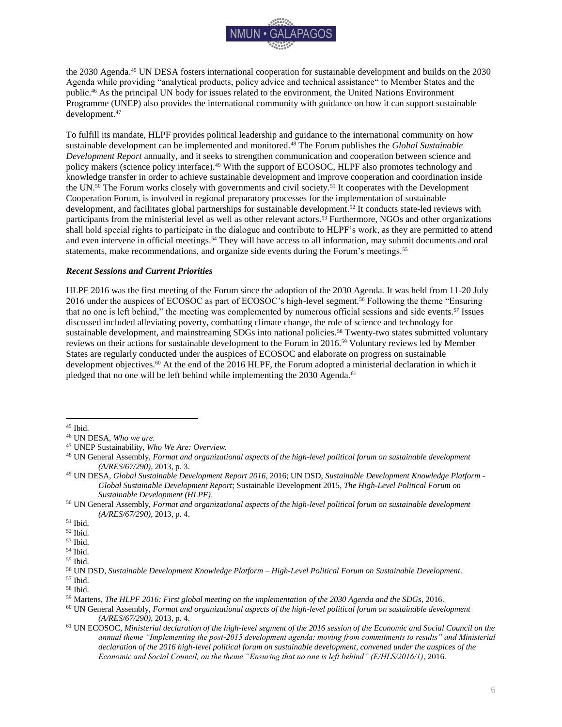

the 2030 Agenda.<sup>45</sup> UN DESA fosters international cooperation for sustainable development and builds on the 2030 Agenda while providing "analytical products, policy advice and technical assistance" to Member States and the public.<sup>46</sup> As the principal UN body for issues related to the environment, the United Nations Environment Programme (UNEP) also provides the international community with guidance on how it can support sustainable development.<sup>47</sup>

To fulfill its mandate, HLPF provides political leadership and guidance to the international community on how sustainable development can be implemented and monitored.<sup>48</sup> The Forum publishes the *Global Sustainable Development Report* annually, and it seeks to strengthen communication and cooperation between science and policy makers (science policy interface).<sup>49</sup> With the support of ECOSOC, HLPF also promotes technology and knowledge transfer in order to achieve sustainable development and improve cooperation and coordination inside the UN.<sup>50</sup> The Forum works closely with governments and civil society.<sup>51</sup> It cooperates with the Development Cooperation Forum, is involved in regional preparatory processes for the implementation of sustainable development, and facilitates global partnerships for sustainable development.<sup>52</sup> It conducts state-led reviews with participants from the ministerial level as well as other relevant actors.<sup>53</sup> Furthermore, NGOs and other organizations shall hold special rights to participate in the dialogue and contribute to HLPF's work, as they are permitted to attend and even intervene in official meetings.<sup>54</sup> They will have access to all information, may submit documents and oral statements, make recommendations, and organize side events during the Forum's meetings.<sup>55</sup>

#### <span id="page-5-0"></span>*Recent Sessions and Current Priorities*

HLPF 2016 was the first meeting of the Forum since the adoption of the 2030 Agenda*.* It was held from 11-20 July 2016 under the auspices of ECOSOC as part of ECOSOC's high-level segment.<sup>56</sup> Following the theme "Ensuring that no one is left behind," the meeting was complemented by numerous official sessions and side events.<sup>57</sup> Issues discussed included alleviating poverty, combatting climate change, the role of science and technology for sustainable development, and mainstreaming SDGs into national policies.<sup>58</sup> Twenty-two states submitted voluntary reviews on their actions for sustainable development to the Forum in 2016.<sup>59</sup> Voluntary reviews led by Member States are regularly conducted under the auspices of ECOSOC and elaborate on progress on sustainable development objectives.<sup>60</sup> At the end of the 2016 HLPF, the Forum adopted a ministerial declaration in which it pledged that no one will be left behind while implementing the 2030 Agenda.<sup>61</sup>

 $\overline{a}$ <sup>45</sup> Ibid.

<sup>46</sup> UN DESA, *Who we are*.

<sup>47</sup> UNEP Sustainability, *Who We Are: Overview.*

<sup>48</sup> UN General Assembly, *Format and organizational aspects of the high-level political forum on sustainable development (A/RES/67/290)*, 2013, p. 3.

<sup>49</sup> UN DESA, *Global Sustainable Development Report 2016*, 2016; UN DSD, *Sustainable Development Knowledge Platform - Global Sustainable Development Report*; Sustainable Development 2015, *The High-Level Political Forum on Sustainable Development (HLPF)*.

<sup>50</sup> UN General Assembly, *Format and organizational aspects of the high-level political forum on sustainable development (A/RES/67/290)*, 2013, p. 4.

<sup>51</sup> Ibid.

<sup>52</sup> Ibid.

<sup>53</sup> Ibid.

 $^{\rm 54}$  Ibid.

 $^{\rm 55}$  Ibid.

<sup>56</sup> UN DSD, *Sustainable Development Knowledge Platform – High-Level Political Forum on Sustainable Development*. <sup>57</sup> Ibid.

<sup>58</sup> Ibid.

<sup>59</sup> Martens, *The HLPF 2016: First global meeting on the implementation of the 2030 Agenda and the SDGs*, 2016.

<sup>60</sup> UN General Assembly, *Format and organizational aspects of the high-level political forum on sustainable development (A/RES/67/290)*, 2013, p. 4.

<sup>61</sup> UN ECOSOC, *Ministerial declaration of the high-level segment of the 2016 session of the Economic and Social Council on the annual theme "Implementing the post-2015 development agenda: moving from commitments to results" and Ministerial declaration of the 2016 high-level political forum on sustainable development, convened under the auspices of the Economic and Social Council, on the theme "Ensuring that no one is left behind" (E/HLS/2016/1)*, 2016.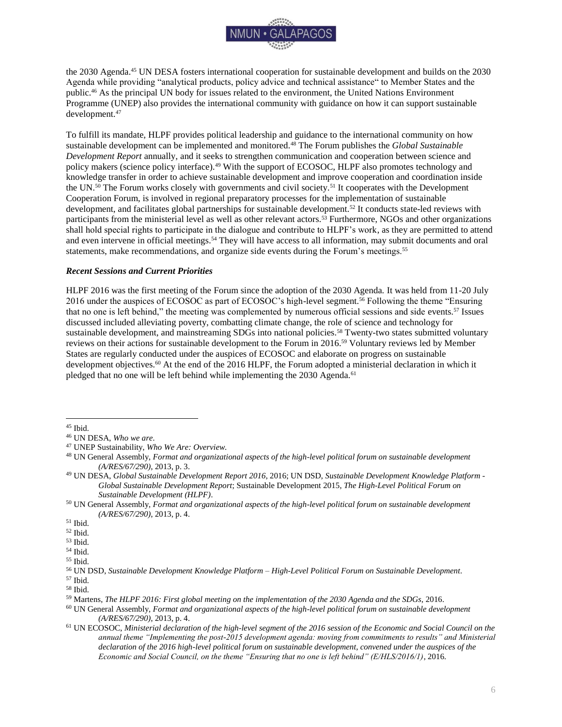

In July 2016, the UN General Assembly adopted resolution 70/299, in which the future themes of HLPF were decided.<sup>62</sup> The Assembly stipulated that the themes for the next sessions of the Forum will be "Eradicating poverty and promoting prosperity in a changing world" in 2017; "Transformation towards sustainable and resilient societies" in 2018; and "Empowering people and ensuring inclusiveness and equality" in 2019.*<sup>63</sup>* The resolution states that all following sessions of the Forum should be focused on a particular group of SDGs and incorporate all three dimensions of sustainable development.<sup>64</sup>

HLPF 2017 convened under the auspices of ECOSOC from 10-19 July 2017.<sup>65</sup> Focusing on poverty reduction and promoting prosperity around the world, HLPF conducted an in-depth review specifically of SDGs 1, 2, 3, 5, 9, 14, and 17, with the aim of "[revitalizing] the Global Partnership for Sustainable Development."<sup>66</sup> In the various side events that accompanied the official meetings, a great number of different activities took place.<sup>67</sup> They included sessions on the role of data in achieving the 2030 Agenda, gender equality, and the contribution of youth to the SDGs, as well as dialogues between UN bodies, international organizations, governments, and civil society.<sup>68</sup> In a significant increase from 2016, 43 countries presented their national voluntary reviews to HLPF 2017.<sup>69</sup> The session concluded with the adoption of a ministerial declaration that recognized the importance of "bolstered partnerships and urgent action" to achieving the SDGs.<sup>70</sup>

# <span id="page-6-0"></span>*Conclusion*

With the adoption of the 2030 Agenda, HLPF, as the successor of the CSD, has become the primary institution to conduct follow-up and review of the progress made by the UN and Member States to implement all three dimensions of sustainable development.<sup>71</sup> Tremendous challenges, such as combatting climate change, eliminating poverty, and guaranteeing peace and security, are connected to the 2030 Agenda, making HLPF one of the most important political forums for a better future for the entire planet.<sup>72</sup> Its inclusive membership and openness to civil society participation make HLPF a key forum for building consensus to foster the implementation of the SDGs and raise awareness for sustainable development in general.<sup>73</sup>

# **Annotated Bibliography**

<span id="page-6-1"></span>Martens, J. (2016). The HLPF 2016: First global meeting on the implementation of the 2030 Agenda and the SDGs. *Global Policy Watch*, 11: 1-6. Retrieved 30 August 2017 from:

[https://www.globalpolicywatch.org/wp-content/uploads/2016/08/GPW11\\_2016\\_08\\_09.pdf](https://www.globalpolicywatch.org/wp-content/uploads/2016/08/GPW11_2016_08_09.pdf)

*This article analyzes the structures and processes of HLPF and provides valuable insights into the Forum's challenges and advantages. It comprehensively explains how HLPF works and provides a detailed overview of the Forum's agenda for the next few years. The article further evaluates the* 

<sup>62</sup> UN DPI, *General Assembly Adopts Resolution on Follow-up to, Review of 2030 Agenda for Sustainable Development, in Consensus Action (GA/11809)*, 2016; UN General Assembly*, Follow-up and review of the 2030 Agenda for Sustainable Development at the global level (A/RES/70/299)*, 2016.

<sup>63</sup> Ibid.

<sup>64</sup> Ibid.

<sup>65</sup> UN DSD, *Sustainable Development Knowledge Platform - High-Level Political Forum 2017*.

<sup>66</sup> Ibid.

 $\,$  67 Ibid.

<sup>68</sup> Ibid.

 $^{69}$  Ibid.

<sup>70</sup> UN DPI, *Concluding Session, High-Level Political Forum on Sustainable Development Adopts Ministerial Declaration Aimed at Expediting Fulfilment of 2030 Agenda (ECOSOC/6864)*, 2017; UN ECOSOC, *Ministerial declaration of the highlevel segment of the 2017 session of the Economic and Social Council on the annual theme "Eradicating poverty in all its forms and dimensions through promoting sustainable development, expanding opportunities and addressing related challenges" and Ministerial declaration of the 2017 high-level political forum on sustainable development, convened under the auspices of the Economic and Social Council, on the theme "Eradicating poverty and promoting prosperity in a changing world" (E/HLS/2017/1)*, 2017.

<sup>71</sup> UN DSD, *Sustainable Development Knowledge Platform – United Nations System*.

<sup>72</sup> Ibid.

<sup>73</sup> UN DSD, *Sustainable Development Knowledge Platform – States Members of the United Nations and States members of specialized agencies*; UN General Assembly, *Format and organizational aspects of the high-level political forum on sustainable development (A/RES/67/290)*, 2013, p. 3.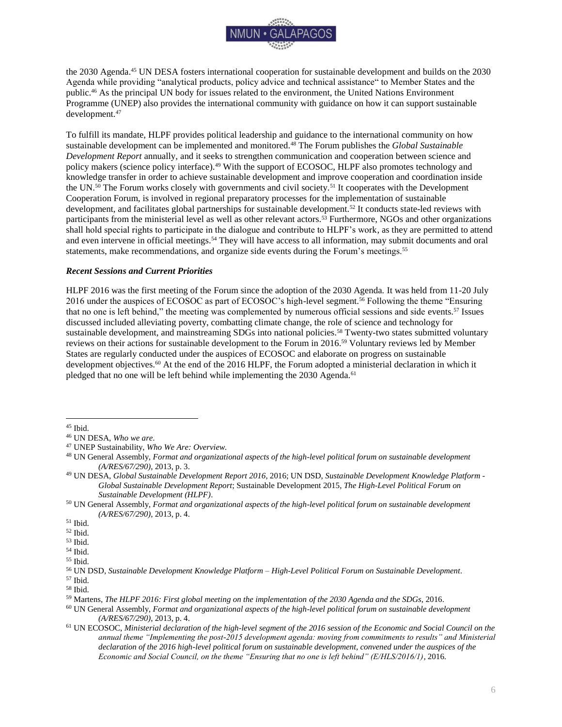

*role of the* 2030 Agenda for Sustainable Development *and the SDGs for the Forum's work and the international community in general. It explains what national voluntary reviews are and looks at the road ahead. Accordingly, this article may be used by delegates as understand key resource for understanding what HLPF is, its challenges and opportunities, and where action is needed. It will also help delegates find more resources on this topic and better understand the content provided in official sources.*

United Nations, Department of Economic and Social Affairs. (n.d.). *Commission on Sustainable Development (CSD)* [Website]. Retrieved 30 August 2017 from:<https://sustainabledevelopment.un.org/csd.html>

*The website of the Department of Economic and Social Affairs summarizes relevant information on the Commission on Sustainable Development, which was established by the General Assembly in 1992 as an instrument to follow up on the United Nations Conference on Environment and Development. As the predecessor of HLPF, CSD's experience with fostering sustainable development helps HLPF to define its agenda and shape its strategies and actions to follow up on and implement the* 2030 Agenda for Sustainable Development *and the Sustainable Development Goals. In addition to listing information on all of the Commission's sessions, the website contains explanations of its history, mandate, and governance. Accordingly, this source can serve as a valuable instrument for delegates to explore information about HLPF's predecessor and simultaneously learn about possible future paths for HLPF.*

United Nations, Department of Economic and Social Affairs. (2016). *Global Sustainable Development Report 2016.*  Retrieved 30 August 2017 from:

[https://sustainabledevelopment.un.org/content/documents/2328Global%20Sustainable%20development%20report%](https://sustainabledevelopment.un.org/content/documents/2328Global%20Sustainable%20development%20report%202016%20(final).pdf) [202016%20\(final\).pdf](https://sustainabledevelopment.un.org/content/documents/2328Global%20Sustainable%20development%20report%202016%20(final).pdf)

*This comprehensive report summarizes what HLPF wants to achieve under the motto "Ensuring that no one is left behind and the 2030 Agenda," as well as how the goals can be implemented into concrete strategies. For instance, some strategies include strengthening economies and social protection standards. It further addresses key aspects that are on HLPF's agenda, such as the role of science and technology, infrastructure, and emerging issues for sustainable development, and it explains in detail why these aspects are important and how they can contribute to overall sustainable development. Accordingly, this report offers in-depth analysis of current debates and HLPF's agenda, which can help delegates to understand key aspects of HLPF's work and priorities.*

United Nations, Division for Sustainable Development. (n.d.). *Division for Sustainable Development* [Website]. Retrieved 30 August 2017 fro[m https://sustainabledevelopment.un.org/about](https://sustainabledevelopment.un.org/about)

*This website summarizes important information on the Division for Sustainable Development (UN DSD), which is a key player on the path to sustainable development. By explaining the Division's mission statement, mandate, governance, and structure, this source will help delegates understand what the institution does and how it works. Accordingly, it serves as a valuable source to delve into the topic and gather ideas for further research. Furthermore, UN DSD provides HLPF with administrative and substantive support. The website therefore allows delegates to get to know more about one of the Forum's important partners and how HLPF's work is connected to UN DSD's programs and actions.*

United Nations, Division for Sustainable Development. (n.d.). *Sustainable Development Knowledge Platform – High-Level Political Forum on Sustainable Development* [Website]. Retrieved 30 August 2017 from: <https://sustainabledevelopment.un.org/hlpf>

*The Sustainable Development Knowledge Platform, which is the official resource on the SDGs and the* 2030 Agenda for Sustainable Development*, provides specific information on HLPF. By explaining the Forum's history, mandate, structure, and governance, it constitutes a useful resource for delegates to delve into the topic. The website further summarizes information on past and upcoming sessions of HLPF and thus provides an overview of recently discussed issues. It helps delegates to keep track of HLPF's work and agenda and it helps them to understand the mandate, functions, and powers of the committee.*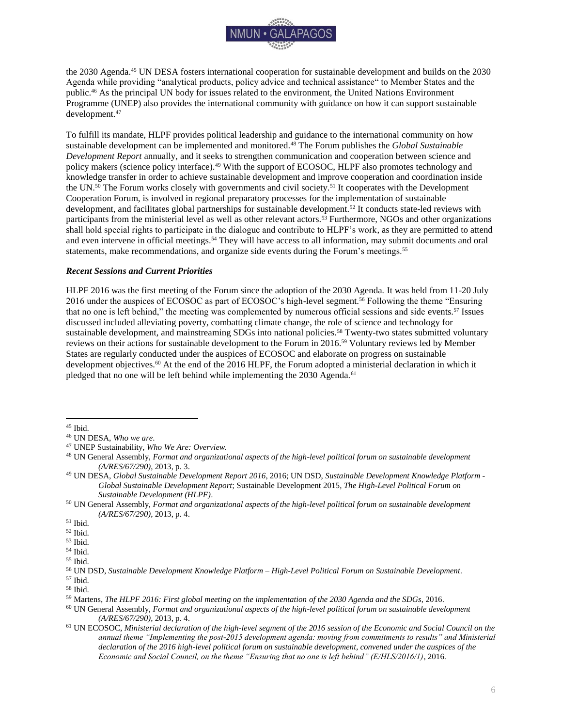

United Nations, General Assembly, Sixty-sixth session. (2012). *The Future We Want (A/RES/66/288).* Retrieved 30 August 2017 from:<http://undocs.org/A/RES/66/288>

*In this pivotal document on the path towards the post-2015 development agenda and the Sustainable Development Goals, among other important aspects, the three dimensions of sustainable development are introduced and explained. Accordingly, it can serve as a valuable resource to gain thorough understanding the principles, ideas, and history underlying sustainable development. As a consequence, it can help delegates to learn about past achievements and developments on the road towards future sustainable development. It further helps to understand why the Forum was established and how its mandate is designed.*

United Nations, General Assembly, Sixty-seventh session. (2013). *Format and organizational aspects of the highlevel political forum on sustainable development (A/RES/67/290)* [Resolution]. Adopted on the report of the First Committee (A/70/460). Retrieved 30 August 2017 from:<http://undocs.org/A/RES/67/290>

*This UN General Assembly resolution is one of the most important documents in which HLPF's mandate, structure, and governance are defined. All organizational aspects related to HLPF's work are explained in detail, including the difference between meetings conducted under the auspices of the UN General Assembly and those held via ECOSOC. Accordingly, this document serves as a valuable source for delegates in researching what HLPF can and cannot do and how its governance and processes should work. Especially when it comes to writing position papers and working papers, this document helps delegates to understand the purpose of the Forum and what its resolutions can consequently encompass.*

United Nations, General Assembly, Sixty-seventh session. (2013). *Lessons learned from the Commission on Sustainable Development: Report of the Secretary-General (A/67/757)*. Retrieved 30 August 2017 from: <http://undocs.org/A/67/757>

*This report from the UN Secretary-General critically analyzes the work of the CSD and emphasizes achievements as well as potential for improvement. It helped the UN General Assembly to define the format and organizational aspects of HLPF and is therefore an important foundation for UN General Assembly resolution 67/290 (2013). The document helps delegates to understand what the CSD has achieved and which key aspects should be on the agenda for HLPF. It further makes clear how the processes of HLPF need to be designed to assist in effective and efficient implementation of the* 2030 Agenda for Sustainable Development *and the SDGs.*

United Nations, General Assembly, Seventieth session. (2015). *Transforming our world: the 2030 Agenda for Sustainable Development (A/RES/70/1)*. Retrieved 30 August 2017 from:<http://undocs.org/A/RES/70/1> *The* 2030 Agenda for Sustainable Development *and the SDGs are the most frequently discussed and most important elements of the current discourse and actions on sustainable development. They provide Member States with examples and incentives on how they can develop more sustainably and thus combat climate change, decrease poverty, establish peace and security, and deal with many more challenges. The SDGs influence almost every aspect of the international*  development agenda and therefore are of utmost importance for the UN and the international *community. This document should be among the first that delegates read since it is one of the key resources HLPF uses in its work. It is a pivotal instrument for monitoring how Member States intend to comply with all three dimensions of sustainable development and how HLPF will continuously evaluate whether the 2030 Agenda and the SDGs are being applied.*

# **Bibliography**

<span id="page-8-0"></span>International Labour Organization. (2012). *Newsletter October 12, No. 32*. Retrieved 30 August 2017 from: [http://www.ilo.org/wcmsp5/groups/public/---dgreports/---exrel/documents/publication/wcms\\_191652.pdf](http://www.ilo.org/wcmsp5/groups/public/---dgreports/---exrel/documents/publication/wcms_191652.pdf)

Martens, J. (2016). The HLPF 2016: First global meeting on the implementation of the 2030 Agenda and the SDGs. *Global Policy Watch*, 11: 1-6. Retrieved 30 August 2017 from: [https://www.globalpolicywatch.org/wp-content/uploads/2016/08/GPW11\\_2016\\_08\\_09.pdf](https://www.globalpolicywatch.org/wp-content/uploads/2016/08/GPW11_2016_08_09.pdf)

Strandneas, J. (2013, August 13). The high level political forum: Strong enough to achieve the future we want, or merely as good as it gets for now?. *Sustainable Development 2015*. Retrieved 30 August 2017 from: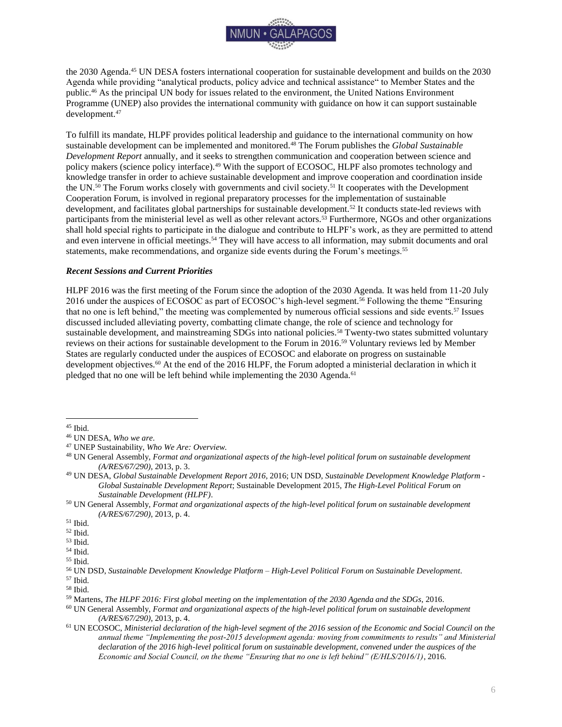

[http://www.sustainabledevelopment2015.org/index.php/blog/296-blog-governance/1435-the-high-level-political](http://www.sustainabledevelopment2015.org/index.php/blog/296-blog-governance/1435-the-high-level-political-forum-strong-enough-to-achieve-the-future-we-want-or-merely-as-good-as-it-gets-for-now)[forum-strong-enough-to-achieve-the-future-we-want-or-merely-as-good-as-it-gets-for-now](http://www.sustainabledevelopment2015.org/index.php/blog/296-blog-governance/1435-the-high-level-political-forum-strong-enough-to-achieve-the-future-we-want-or-merely-as-good-as-it-gets-for-now)

Sustainable Development 2015. (n.d.). *The High-Level Political Forum on Sustainable Development (HLPF)* [Website]. Retrieved 30 August 2017 from: <http://www.sustainabledevelopment2015.org/index.php/intergovernmental-processes/high-level-political-forum>

United Nations, Department of Economic and Social Affairs. (n.d.). *Commission on Sustainable Development (CSD)* [Website]. Retrieved 30 August 2017 from:<https://sustainabledevelopment.un.org/csd.html>

United Nations, Department of Economic and Social Affairs. (n.d). *Who we are* [Website]. Retrieved 30 August 2017 from:<https://www.un.org/development/desa/en/about/who-we-are.html>

United Nations, Department of Economic and Social Affairs. (2016). *Global Sustainable Development Report 2016.*  Retrieved 30 August 2017 from: [https://sustainabledevelopment.un.org/content/documents/2328Global%20Sustainable%20development%20report%](https://sustainabledevelopment.un.org/content/documents/2328Global%20Sustainable%20development%20report%202016%20(final).pdf) [202016%20\(final\).pdf](https://sustainabledevelopment.un.org/content/documents/2328Global%20Sustainable%20development%20report%202016%20(final).pdf)

United Nations, Department of Public Information. (n.d.). *Millennium Development Goals – Background* [Website]. Retrieved 30 August 2017 from:<http://www.un.org/millenniumgoals/bkgd.shtml>

United Nations, Department of Public Information. (2013, September 24). *New High‐level Political Forum Starts Work to Reinvigorate and Accelerate Sustainable Development Action* [Press Release]. Retrieved 30 August 2017 from[: https://sustainabledevelopment.un.org/content/documents/2038Inauguaral%20HLPF%20Release%20rev.pdf](https://sustainabledevelopment.un.org/content/documents/2038Inauguaral%20HLPF%20Release%20rev.pdf)

United Nations, Department of Public Information. (2016, July 7). *Achieving 2030 Agenda Requires Bold Changes, Speakers Tell Economic and Social Council as Dialogue on Positioning United Nations Development System Concludes (ECOSOC/6779)* [Meetings Coverage]. Retrieved 30 August 2017 from: <https://www.un.org/press/en/2016/ecosoc6779.doc.htm>

United Nations, Department of Public Information. (2016, July 20). *Adoption of Declaration Commits Ministers to Leaving No One Behind in Implementing Sustainable Development Agenda, as High-Level Political Forum Concludes (ECOSOC/6790)* [Meetings Coverage]. Retrieved 30 August 2017 from: <http://www.un.org/press/en/2016/ecosoc6790.doc.htm>

United Nations, Department of Public Information. (2016, July 29). *General Assembly Adopts Resolution on Follow-up to, Review of 2030 Agenda for Sustainable Development, in Consensus Action (GA/11809)* [Meetings Coverage]. Retrieved 30 August 2017 from:<http://www.un.org/press/en/2016/ga11809.doc.htm>

United Nations, Department of Public Information. (2017, July 19). *Concluding Session, High-Level Political Forum on Sustainable Development Adopts Ministerial Declaration Aimed at Expediting Fulfilment of 2030 Agenda (ECOSOC/6864)* [Meetings Coverage]. Retrieved 30 August 2017 from: <https://www.un.org/press/en/2017/ecosoc6864.doc.htm>

United Nations, Division for Sustainable Development. (n.d.). *About the CSD* [Website]. Retrieved 30 August 2017 from[: https://sustainabledevelopment.un.org/intergovernmental/csd/about](https://sustainabledevelopment.un.org/intergovernmental/csd/about)

United Nations, Division for Sustainable Development. (n.d.). *Division for Sustainable Development* [Website]. Retrieved 30 August 2017 fro[m https://sustainabledevelopment.un.org/about](https://sustainabledevelopment.un.org/about)

United Nations, Division for Sustainable Development. (n.d.). *Sustainable Development Knowledge Platform – Global Sustainable Development Report* [Website]. Retrieved 30 August 2017 from: <https://sustainabledevelopment.un.org/index.php?menu=1621>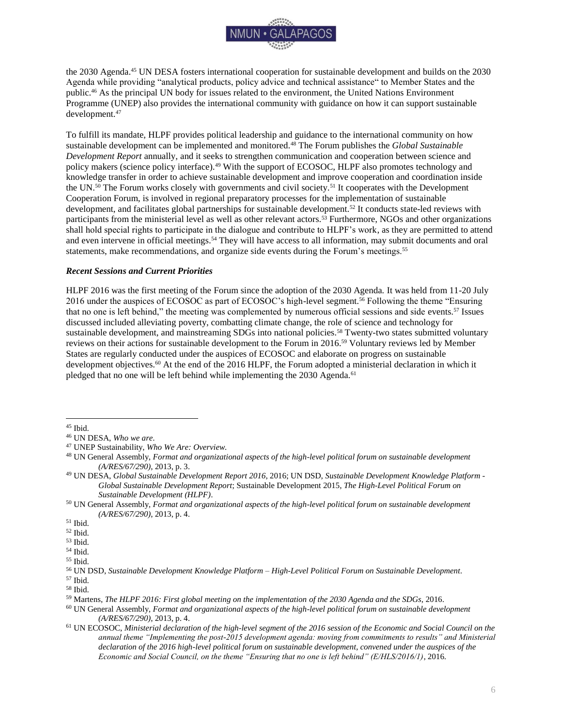

United Nations, Division for Sustainable Development. (n.d.). *Sustainable Development Knowledge Platform - High-Level Political Forum 2017* [Website]. Retrieved 30 August 2017 from: <https://sustainabledevelopment.un.org/hlpf/2017>

United Nations, Division for Sustainable Development. (n.d.). *Sustainable Development Knowledge Platform – High-Level Political Forum on Sustainable Development* [Website]. Retrieved 30 August 2017 from: <https://sustainabledevelopment.un.org/hlpf>

United Nations, Division for Sustainable Development. (n.d.). *Sustainable Development Knowledge Platform – United Nations System* [Website]. Retrieved 30 August 2017 from: <https://sustainabledevelopment.un.org/unsystem.html>

United Nations, Division for Sustainable Development. (n.d.). *Sustainable Development Knowledge Platform – States Members of the United Nations and States members of specialized agencies* [Website]. Retrieved 30 August 2017 from:<https://sustainabledevelopment.un.org/memberstates>

United Nations, Division for Sustainable Development. (n.d.). *United Nations Conference on the Human Environment (Stockholm Conference)* [Website]. Retrieved 30 August 2017 from: <https://sustainabledevelopment.un.org/milestones/humanenvironment>

United Nations, Economic and Social Council. (n.d.). *Annual Ministerial Review – Mandate* [Website]. Retrieved 30 August 2017 from:<https://www.un.org/en/ecosoc/newfunct/amrmandate.shtml>

United Nations, Economic and Social Council. (n.d.). *Sustainable Development* [Website]. Retrieved 30 August 2017 from:<https://www.un.org/ecosoc/en/sustainable-development>

United Nations, Economic and Social Council. (2016). *Ministerial declaration of the high-level segment of the 2016 session of the Economic and Social Council on the annual theme "Implementing the post-2015 development agenda: moving from commitments to results" and Ministerial declaration of the 2016 high-level political forum on sustainable development, convened under the auspices of the Economic and Social Council, on the theme "Ensuring that no one is left behind" (E/HLS/2016/1)*. Retrieved 30 August 2017 from: <http://undocs.org/E/HLS/2016/1>

United Nations, Economic and Social Council. (2017). *Ministerial declaration of the high-level segment of the 2017 session of the Economic and Social Council on the annual theme "Eradicating poverty in all its forms and dimensions through promoting sustainable development, expanding opportunities and addressing related challenges" and Ministerial declaration of the 2017 high-level political forum on sustainable development, convened under the auspices of the Economic and Social Council, on the theme "Eradicating poverty and promoting prosperity in a changing world" (E/HLS/2017/1)*. Retrieved 30 August 2017 from:<http://undocs.org/E/HLS/2017/1>

United Nations Economic Commission for Europe. (n.d.). *Sustainable development - concept and action* [Website]. Retrieved 30 August 2017 from: [http://www.unece.org/oes/nutshell/2004-2005/focus\\_sustainable\\_development.html](http://www.unece.org/oes/nutshell/2004-2005/focus_sustainable_development.html)

United Nations Environment Programme Sustainability. (n.d.). *Who We Are: Overview* [Website]. Retrieved 30 August 2017 from: <http://www.unep.org/sustainability/who-we-are/overview>

United Nations, General Assembly, Forty-seventh session. (1993). *Institutional arrangements to follow up the United Nations Conference on Environment and Development (A/RES/47/191)* [Resolution]*.* Retrieved 30 August 2017 from:<http://undocs.org/A/RES/47/191>

United Nations, General Assembly, Fifty-fifth session. (2000). *United Nations Millennium Declaration (A/RES/55/2)* [Resolution]*.* Retrieved 30 August 2017 from:<http://undocs.org/A/RES/55/2>

United Nations, General Assembly, Sixty-sixth session. (2012). *The Future We Want (A/RES/66/288)* [Outcome Document]*.* Retrieved 30 August 2017 from:<http://undocs.org/A/RES/66/288>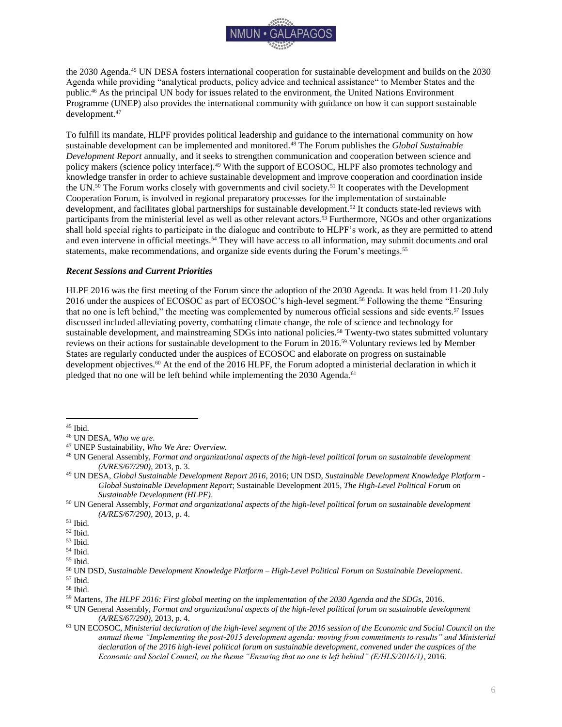

United Nations, General Assembly, Sixty-seventh session. (2013). *Format and organizational aspects of the highlevel political forum on sustainable development (A/RES/67/290)* [Resolution]. Adopted on the report of the First Committee (A/70/460). Retrieved 30 August 2017 from:<http://undocs.org/A/RES/67/290>

United Nations, General Assembly, Sixty-seventh session. (2013). *Lessons learned from the Commission on Sustainable Development: Report of the Secretary-General (A/67/757)*. Retrieved 30 August 2017 from: <http://undocs.org/A/67/757>

United Nations, General Assembly, Seventieth session. (2015). *Transforming our world: the 2030 Agenda for Sustainable Development (A/RES/70/1)*. Retrieved 30 August 2017 from:<http://undocs.org/A/RES/70/1>

United Nations, General Assembly, Seventieth session. (2016). *Follow-up and review of the 2030 Agenda for Sustainable Development at the global level (A/RES/70/299)* [Resolution]. Retrieved 30 August 2017 from: <http://undocs.org/A/RES/70/299>

United Nations Office for Sustainable Development. (2017). *United Nations Office for Sustainable Development.*  Retrieved 30 August 2017 from:<http://www.unosd.org/index.php?menu=17>

United Nations, World Commission on Environment and Development. (1987). *Our Common Future (Brundtland Report)*. Retrieved 30 August 2017 from:<http://undocs.org/A/42/427>

United Nations, World Summit on Sustainable Development. (2002). *Draft plan of implementation of the World Summit on Sustainable Development (A/CONF.199/L.1)*. Retrieved 30 August 2017 from: <http://undocs.org/A/CONF.199/L.1>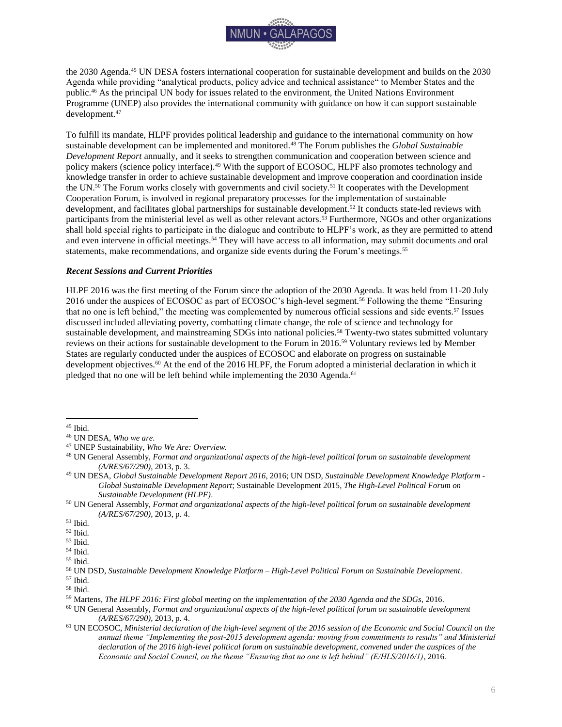

# <span id="page-12-0"></span>**I. Promotion of Sustainable Industrial Development and Innovation in Rural Areas**

# <span id="page-12-1"></span>*Introduction*

Rural areas have traditionally been excluded from sustainable development initiatives, thus threatening the full economic, social, and environmental viability of states.<sup>74</sup> Sustainable rural development is vital for poverty eradication since "global poverty is overwhelmingly rural."<sup>75</sup> In this regard, it is essential at a global, regional, national, and local level to coordinate rural development initiatives that target sustainable industrial development and innovation.<sup>76</sup> Sustainable development "seeks to meet the needs and aspirations of the present without compromising the ability to meet those of the future," and "far from requiring the cessation of economic growth, it recognizes that the problems of poverty and underdevelopment cannot be solved unless" the current model of growth is changed.<sup>77</sup> Innovation in rural areas is a key factor in generating "increased competitiveness," since it contributes to "more creative uses of natural resources and human assets," and thus can help achieve sustainable development in a rural context.<sup>78</sup>

# <span id="page-12-2"></span>*International and Regional Framework*

In October 1987, the World Commission on Environment and Development (WCED), established by the United Nations (UN) to tackle the deterioration of the environment and natural resources, issued the report *Our Common Future*, also known as the Brundtland Report, which defined "sustainable development" for the first time: "meeting the needs and aspirations of the present without compromising the ability to meet those of the future." <sup>79</sup> The report emphasizes that, although sustainable development does not require "absolute limits," it does imply limitations "imposed by the present state of technology and social organization on environmental resources and by the ability of the biosphere to absorb the effects of human activities," considering that both "technology and social organization can be managed and improved to make way for a new era of economic growth."<sup>80</sup>

The importance of sustainable development was furthermore highlighted with the adoption of *Agenda 21*, a nonbinding action plan of the UN elaborated as a result of the Earth Summit, held in Rio de Janeiro in 1992.<sup>81</sup> This document established several objectives relating to sustainable development, such as disseminating "information on effective legal and regulatory innovations in the field of environment and development." <sup>82</sup> *Agenda 21* also looked forward to "developing national policies and strategies to encourage changes in unsustainable consumption patterns," thereby shifting the "existing production and consumption patterns that have developed in industrial societies" and are emulated in much of the world.<sup>83</sup>

Subsequently, on September 8, 2000, the UN General Assembly adopted the *Millennium Declaration*, containing eight chapters and key objectives previously agreed upon by 189 world leaders during the Millennium Summit, which reaffirmed Member States' support for the principles of sustainable development and resolved to create an environment which is "conducive to development and to the elimination of poverty."<sup>84</sup> The Declaration committed states to a "new global partnership to reduce extreme poverty" and set out a series of eight targets – with a deadline of 2015 – known as the Millennium Development Goals (MDGs).<sup>85</sup> The MDGs enjoyed varied success: for instance, MDG 1, to eradicate extreme poverty and hunger by "reducing by half the proportion of people living in extreme poverty, was achieved in 2010, ahead of the 2015 deadline." <sup>86</sup> On the other hand, MDG 7 on ensuring environmental

 $\overline{a}$ 

<sup>85</sup> Ibid*.*

<sup>74</sup> UN Commission on Sustainable Development, *Report on the 17th session of CSD (E/2009/29-E/CN.17/2009/19).*

<sup>75</sup> UN General Assembly, *Transforming our world: the 2030 Agenda for Sustainable Development (A/RES/70/1)*, 2015.

<sup>76</sup> UN Commission on Sustainable Development, *Report on the 17th session of CSD (E/2009/29-E/CN.17/2009/19).*

<sup>77</sup> UN WCED, *Report of the World Commission on Environment and Development: Our Common Future (A/42/427)*, 1987.

<sup>78</sup> Alpine Convention, *Third Report on the state of the Alps, Sustainable Rural Development and Innovation*, 2011.

<sup>79</sup> UN WCED, *Report of the World Commission on Environment and Development: Our Common Future (A/42/427)*, 1987. <sup>80</sup> Ibid.

<sup>81</sup> UN Conference on Environment and Development, *Agenda 21*, 1992.

 $82$  Ibid.

<sup>83</sup> Ibid.

<sup>84</sup> UN General Assembly, *United Nations Millennium Declaration (A/RES/55/2)*, 2000.

<sup>86</sup> UN DESA, *The Millennium Development Goals Report 2015*, 2015.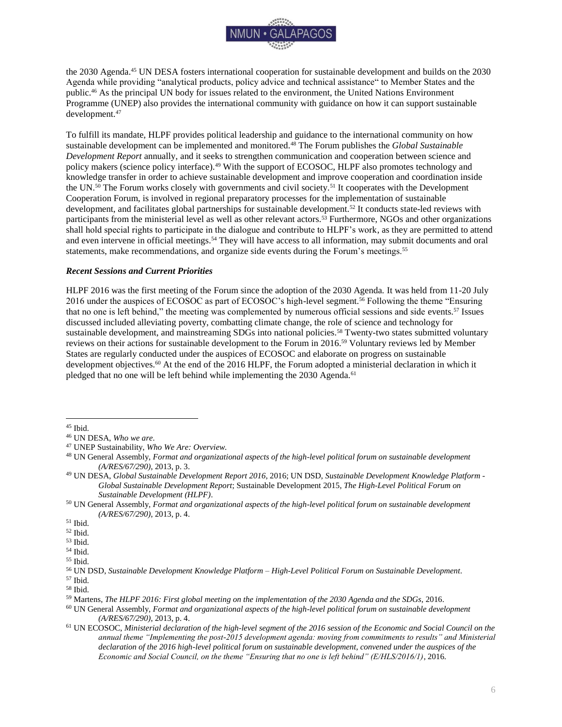

sustainability was not achieved satisfactorily, considering that although deforestation has slowed, global emissions of greenhouse gasses continue to increase.<sup>87</sup>

In this sense, although a considerable amount of the targets set for the MDGs were accomplished and more than one billion people were lifted out of extreme poverty by the 2015 deadline, it was clear that further progress and a longterm effort would be required in order to achieve the economic, social, and environmental dimensions of sustainable development.<sup>88</sup> The *Millennium Development Goals Report 2015*, published by the UN Department of Economic and Social Affairs (DESA) to assess progress towards the MDGs at the end of the 2015 deadline, established that big gaps still existed between rural and urban areas, and that "greater funding and innovation are crucial to the implementation of the post-2015 development agenda."<sup>89</sup>

As the MDGs era came to a conclusion, the *2030 Agenda for Sustainable Development* was adopted in 2015 by world leaders at the UN, calling upon all countries to achieve 17 Sustainable Development Goals (SDGs) with a deadline of 2030.<sup>90</sup> These goals are considered a "universal call to action to end poverty, protect the planet, and ensure that all people enjoy peace and prosperity." <sup>91</sup> Although it builds on the successes and achievements of the MDGs, it also "includes new areas, such as climate change, economic inequality, innovation, and sustainable consumption," among others, thus emphasizing that the goals are interconnected, in a way that the key to succeed on one will involve tackling issues connected with another.<sup>92</sup> In regards to the topic at hand, Goal 9 focuses on building resilient infrastructure, promoting inclusive and sustainable industrialization, and fostering innovation as crucial "drivers of economic growth and development," with a set of eight targets to measure progress in the achievement of this objective.<sup>93</sup>

More specific instruments targeting the issues of industrial development and innovation have also been adopted within the last decades. In March 1975, the General Conference of the United Nations Industrial Development Organization (UNIDO) gathered in Lima, Peru, and issued the *Lima Declaration and Plan of* Action, which called for the redistribution of the world industry and set out the main principles of industrialization that must be followed by states in order to close the gap between developed and less developed countries.<sup>94</sup> Furthermore, in December 2013, the General Conference of UNIDO "adopted a new *Lima Declaration* that charted the Organization's development priorities for the coming years, placing special emphasis on inclusive and sustainable industrial development." 95

In December 1986, the UN General Assembly issued the *Declaration on the Right to Development*, establishing that "the right to development is an inalienable human right by virtue of which every human person and all peoples are entitled to participate in, contribute to, and enjoy economic, social, cultural and political development, in which all human rights and fundamental freedoms can be fully realized." <sup>96</sup> Additionally, in July 2015, the *Addis Ababa Action Agenda of the Third International Conference on Financing for Development* declared that "the creation, development and diffusion of new innovations and technologies and associated know how, including the transfer of technology on mutually agreed terms, are powerful drivers of economic growth and sustainable development."<sup>97</sup> The Agenda also emphasized the need to promote rural development, as the majority of the poor live in rural areas.<sup>98</sup>

<sup>87</sup> UNDP*, Ensure environmental sustainability: Where do we stand?*, 2017.

<sup>88</sup> UN DESA, *The Millennium Development Goals Report 2015*, p. 3.

<sup>89</sup> Ibid., p. 8.

<sup>90</sup> UNDP, *Sustainable Development Goals.*

<sup>91</sup> Ibid.

<sup>92</sup> Ibid.

<sup>93</sup> UNDP*, Goal 9 Targets.*

<sup>94</sup> UNIDO, *UNIDO General Conference adopts Lima Declaration with focus on inclusive and sustainable industrial development*, 2013.

<sup>95</sup> Ibid.

<sup>96</sup> UN General Assembly, *Declaration on the Right to Development (A/RES/41/128)*, 1986, art. 1.

<sup>97</sup> UN General Assembly, *Addis Ababa Action Agenda of the Third International Conference on Financing for Development (Addis Ababa Action Agenda) (A/RES/69/313)*, 2015, p. 51.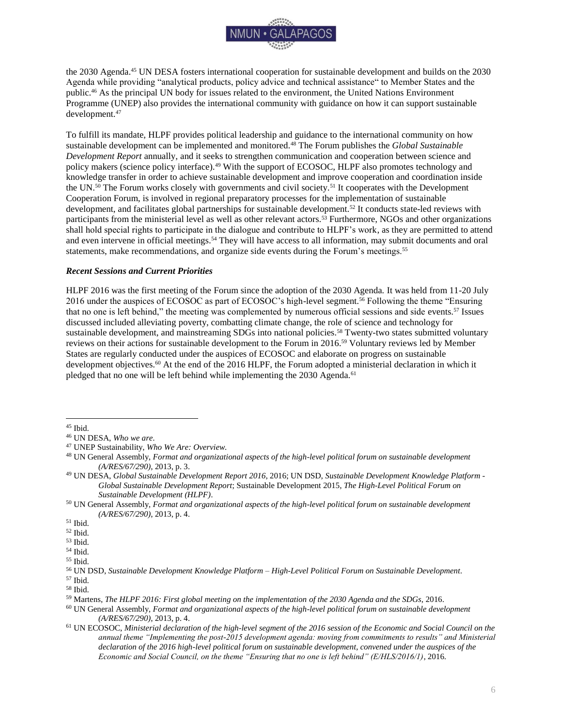

# <span id="page-14-0"></span>*Role of the International System*

# *The High-level Political Forum on Sustainable Development (HLPF)*

HLPF was established for the follow-up and review of the *2030 Agenda for Sustainable Development*. <sup>99</sup> It provides "political leadership, guidance and recommendations for sustainable development; follows up and reviews progress in the implementation of sustainable development commitments"; enhances the integration of economic, social and environmental dimensions of sustainable development; is a platform for regular dialogue and agenda setting to advance on sustainable development; and reports on significant achievements undertaken by the public and private sector in the implementation of the 2030 Agenda.<sup>100</sup>

The most recent session of HLPF took place in July 2017, with the theme "Eradicating poverty and promoting prosperity in a changing world."<sup>101</sup> A ministerial declaration was adopted as an outcome document from the meeting; it acknowledges that "while extreme poverty has fallen globally, progress has been uneven," and poor people are still disproportionately concentrated in rural areas.<sup>102</sup> In this sense, HLPF recognizes that "inclusive and sustainable industrialization is integral for the structural transformation" of economics to create decent jobs for all, "promote productivity growth, energy efficiency, innovation, social inclusion, enhance incomes, and achieve sustainable development," as well as that "resilient, sustainable and inclusive food systems that protect, enhance and restore natural resources, sustain rural … livelihoods and provide access to nutritious foods from smallholder producers must be at the heart of efforts to simultaneously eradicate poverty and hunger."<sup>103</sup>

Furthermore, a call was made for development partners to "support developing countries in improving infrastructure and connectivity to allow all access to basic services," in order to improve "industrialization, including by technology transfer"; and the "importance of sharing the benefits of innovation" was highlighted.<sup>104</sup> It was stressed that it is essential to support "small and medium-sized enterprises and microenterprises, through access to financing and ICT for trade," for instance.<sup>105</sup> It is also "important to ensure that industrialization does not harm the environment," through the implementation of resilient, green infrastructure that safeguards citizens while simultaneously providing "solutions for mitigation and adaptation to climate change," while ensuring the provision of basic commodities, such as food, energy and water.<sup>106</sup>

#### *United Nations Industrial Development Organization (UNIDO)*

A specialized agency of the UN since 1985, the UNIDO seeks "to promote industrial development for poverty reduction, inclusive globalization, and environmental sustainability."<sup>107</sup> With 173 Member States, a renewed mandate for the organization was adopted at the General Conference in December 2013, which focuses on inclusive and sustainable industrial development, in order to address the multidimensional causes of poverty and realize the full potential of industry's contribution to the achievement of the SDGs.<sup>108</sup>

#### *United Nations Development Programme (UNDP)*

UNDP is a "global development network that seeks to connect countries to knowledge, experience and resources," including by providing "expert advice, training, and support to developing countries." <sup>109</sup> The Programme supports countries' efforts to achieve the SDGs by helping states with building and sharing solutions in three main areas,

<sup>99</sup> Sustainable Development Knowledge Platform, *Expert Group Meeting on the role of the high-level political forum on sustainable development in post-2015 development framework.*

<sup>100</sup> Ibid.

<sup>101</sup> UN DESA, *High-level political forum on sustainable development in 2017 (HLPF 2017)*.

<sup>102</sup> UN ECOSOC, *Ministerial declaration of the high-level segment of the 2017 session of the Economic and Social Council on the annual theme "Eradicating poverty in all its forms and dimensions through promoting sustainable development, expanding opportunities and addressing related challenges" and Ministerial declaration of the 2017 high-level political forum on sustainable development, convened under the auspices of the Economic and Social Council, on the theme "Eradicating poverty and promoting prosperity in a changing world" (E/HLS/2017/1)*, 2017, p. 4.

<sup>103</sup> Ibid., pp. 5-6.

<sup>104</sup> UN DESA, *President's Summary of 2017 High‐level political forum on sustainable development*, 2017, p. 8.

<sup>105</sup> Ibid.

<sup>106</sup> Ibid.

<sup>107</sup> Devex, *United Nations Industrial Development Organization (UNIDO)*.

<sup>108</sup> Ibid.; UNIDO, *Industrial Development Report 2016*, 2015.

<sup>109</sup> UNDP, *About Us.*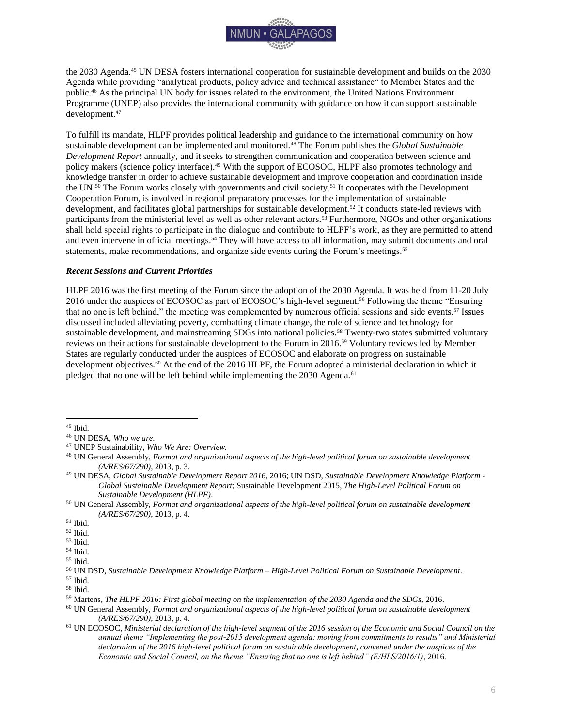

including sustainable development.<sup>110</sup> For instance, "UNDP supported the installation of advanced solar power systems in isolated desert towns," such as in Fezna, Morocco, which resulted in students from this area feeling safe on their way back from school thanks to this public lighting project.<sup>111</sup>

# *International Labour Organization (ILO)*

Since 1946, as the first specialized agency of the UN, the ILO has worked to promote decent work for all.<sup>112</sup> Concerning the achievement of the SDGs, the Organization recognizes that "over 600 million new jobs need to be created by 2030 just to keep pace with the growth of the global working age population," and conditions need to be improved for the 780 million women and men who are currently working but living on only \$2 a day.<sup>113</sup> In this sense, the importance of decent work in the achievement of sustainable development must be highlighted for each individual SDG: in the case of sustainable industrial development in rural areas, it must be recognized that rural poverty is a multidimensional issue, and that focusing on protecting workers' rights in these areas and generating new jobs through innovative initiatives will help to address this multiplicity.<sup>114</sup>

#### *Commission on the Status of Women (CSW)*

The CSW was established in June 1946 and serves as a functional commission of the Economic and Social Council.<sup>115</sup> It is the "principal global intergovernmental body exclusively dedicated to the promotion of gender equality and the empowerment of women."<sup>116</sup> Industrial growth in the past has occurred too often without the participation and reward to significant segments of the population, particularly women.<sup>117</sup> Therefore, it is essential to better integrate women in the process of creating a sustainable industrial workforce.<sup>118</sup> In this sense, the experiences and recommendations from the CSW can serve as valuable information for the HLPF in terms on how to achieve sustainable industrial development and innovation by improving gender equality.<sup>119</sup>

# *Civil Society Organizations (CSOs)*

It is of vital importance to recognize that national governments cannot achieve such ambitious goals as the SDGs on their own. Collective and individual efforts at the local, national, and regional levels are necessary, as well as input from stakeholders, especially CSOs.<sup>120</sup> Considering that "Leaving no one behind" is an underlying principle of the SDGs, CSOs may represent the voice of the poorest and most marginalized citizens, who are often left out of the discussion or are unable to reach the government.<sup>121</sup> CSOs may also act as agents of accountability by making sure that states are held accountable for their actions concerning the 2030 Agenda, and can even collect data, report, and monitor the progress towards these goals.<sup>122</sup> For instance, in Uganda, CSOs are well organized under national platforms and have been involved with the Ugandan government to facilitate the implementation of the SDGs.<sup>123</sup> Many CSOs are already engaging with various government institutions to monitor the progress on this matter, such as with the Ministry of Water and Environment and the Ministry of Gender, Labour and Social Development, to discuss clean water and women's empowerment, respectively.<sup>124</sup>

Furthermore, one of the most successful initiatives by a CSO has been the Orangi Pilot Project (OPP) in Pakistan.<sup>125</sup> Since its beginning in the 1980s, the Project has directly and indirectly assisted approximately one million people in

<sup>110</sup> Ibid.

<sup>111</sup> UNDP, *Sustainable Development.*

<sup>112</sup> ILO, *About the ILO.* 

<sup>113</sup> ILO, *The 2030 Agenda for sustainable development.*

<sup>114</sup> ILO, *Decent Work for Food Security and Sustainable Rural Development (DW4FS).*

<sup>115</sup> UN-Women, *Commission on the Status of Women*.

<sup>116</sup> Ibid.

<sup>117</sup> UNIDO, *Inclusive and Sustainable Industrial Development*, 2014*.*

<sup>118</sup> Ibid.

<sup>119</sup> Ibid.

<sup>120</sup> African Civil Society Circle, *The Roles of Civil Society in Localising the Sustainable Development Goals*, 2016.

<sup>121</sup> Ibid.

<sup>122</sup> Ibid.

<sup>123</sup> Action for Sustainable Development, *Learning by doing: Civil Society Engagement in the High-level political forum's National Review Process*, 2016.

<sup>124</sup> Ibid.

<sup>125</sup> Hasan, *Orangi Pilot Project: the expansion of work beyond Orangi and the mapping of informal settlements and infrastructure,* 2006.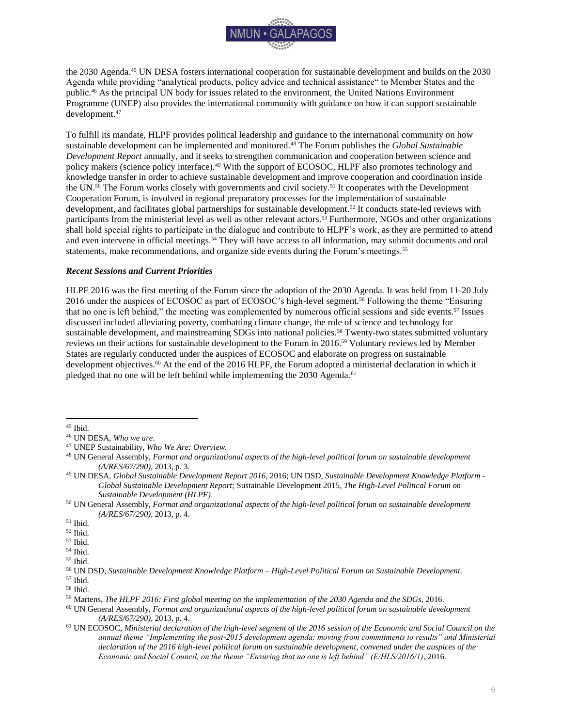

the rural region of Orangi (Karachi) with improved sanitation facilities.<sup>126</sup> The Project has also promoted availability of housing, better health, credit for entrepreneurs, and education through innovative initiatives, thereby addressing some of the biggest challenges associated with promoting sustainable development in rural areas.<sup>127</sup>

#### <span id="page-16-0"></span>*Sustainable Industrial Development*

Although industrialization does not necessarily equal development, it is undeniable that with sufficient investment, inclusiveness, and innovation, industrialization can have "enormous multidimensional benefits," being a key tool for achieving poverty eradication and sustainable development in rural areas.<sup>128</sup> In order to achieve these benefits, it is necessary to step away from two models that did not result in the achievement of the former MDGs: first, low industrialization and productivity levels, and second, large-scale industrialization.<sup>129</sup>

# *Low Industrialization and Productivity Levels*

One shared feature of rural areas in developing countries is that agriculture accounts for a large part of gross domestic product and employment, while industrial development is left behind.<sup>130</sup> This results in low levels of scientific and technological capability, which are at the same time major constraints on industrial expansion.<sup>131</sup> Industries contribute to the creation of jobs, which alleviate poverty.<sup>132</sup> Without industrial expansion, states cannot compete with other producers of goods and services in a globalized world, which weakens their economies and contributes to food scarcity, unemployment, social and gender inequality, and lack of education.<sup>133</sup>

For instance, the Latin America and Caribbean Region (LAC) has the highest inequality rate in the world, and its GDP grew by only 1.1% in 2014, its" slowest annual expansion rate since 2009," attributable to the region's high dependence on commodity export prices, in addition to its low productivity and industrialization levels.<sup>134</sup> A significant consequence of this low economic growth has been weak job growth, which has affected women more than men, widening the gender labor gaps.<sup>135</sup>

#### *Large-Scale Industrialization*

Although low industrialization and productivity levels can pose problems in rural areas, large-scale industrialization with no regard to sustainability is undesired as well.<sup>136</sup> Heavy industrialization has a profound impact on natural resources through the entire cycle of exploration, extraction of "raw materials, transformation into products, energy consumption, waste generation, and the use and disposal of products by consumers." <sup>137</sup> These impacts may cause heavy pollution and depletion of natural resources, which in turn affect people's quality of life.<sup>138</sup>

Taking the example of China: its high-level economy and large population highlight the magnitude of its environmental, social, and health-related challenges.<sup>139</sup> Studies by the World Health Organization show that air pollution contributed to 1.2 million premature deaths in China in 2010, and "according to a recent Deutsche Bank report, China's air quality will become 70% worse by 2025," due to the increases in coal burning and vehicle and industrial emissions.<sup>140</sup> Furthermore, corruption is a serious sociopolitical problem in China: the industrialized economy has created new opportunities, but it has also made "corruption more pervasive than in previous decades." 141

<sup>140</sup> Ibid.

 $\overline{a}$ <sup>126</sup> Ibid.

<sup>127</sup> Ibid.

<sup>128</sup> UN DPI, *Better Policies, Investment in Infrastructure, Industrialization Key for Creating Thriving, Sustainable Societies, Speakers Tell Economic and Social Council*, 2017.

<sup>129</sup> Ibid.

<sup>130</sup> Kumar, *Major Characteristics of Developing Countries.*

<sup>131</sup> Ibid.

<sup>132</sup> Ibid.

 $^{133}$  Ibid

<sup>134</sup> UNIDO, *Inclusive and Sustainable Industrial Development in Latin America and the Caribbean Region*, p. 6.

<sup>135</sup> Ibid., p. 4.

<sup>136</sup> Ibid.

<sup>137</sup> Ibid.

<sup>138</sup> UN WCED, *Report of the World Commission on Environment and Development: Our Common Future (A/42/427)*, 1987.

<sup>139</sup> YaleGlobal Online, *China: The Dark Side of Growth*.

<sup>141</sup> Ibid.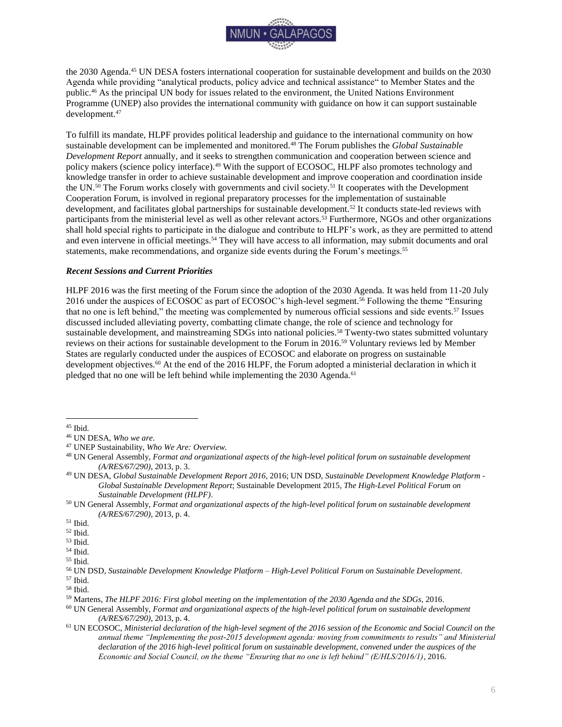

# *Benefits of Inclusive and Sustainable Industrial Development*

In this regard, it is necessary to implement initiatives that promote inclusive and sustainable industrial development in rural areas that erases the negative effects of both low levels of industrialization and large-scale industrialization. This model of industrialization requires the following core aspects: 1) "every country achieves a higher level of industrialization in their economies, and benefits from the globalization of markets for industrial goods and services"; 2) "no one is left behind in benefiting from industrial growth"; 3) "broader economic and social growth is supported within an environmentally sustainable framework"; and 4) "the unique knowledge and resources of all relevant development actors are combined to maximize the development impact of inclusive and sustainable industrial development" in the global development agenda.<sup>142</sup> Finally, these initiatives must not be limited to their implementation in rural areas by third parties, but must be effectively transferred to users, so that they utilize them efficiently and thrive within their rural lifestyle.<sup>143</sup>

One of the main benefits of sustainable industrial development in rural areas is poverty eradication, since unsustainable production practices may result from limited livelihood choices for the poor.<sup>144</sup> In this sense, the "promotion of micro, small and medium-sized enterprises to further process the primary products generated from these sectors would provide alternative livelihoods for rural communities, and generate employment opportunities" while stimulating growth.<sup>145</sup> Finally, it is important to emphasize that, due to the complexity of sustainable industrial development and its close linkages with all other SDGs, sustainable industrial development in rural areas will lead to great improvements in job creation, sustainable livelihoods, better health, technology and skills development, food security, green technologies, environmental protection, and climate change mitigation.<sup>146</sup>

# <span id="page-17-0"></span>*Innovation in Rural Areas*

Considering that almost 80% of poor people in the world live outside of towns and cities, it is of utmost important to address the conditions faced by population in rural areas.<sup>147</sup> Most of these people depend on agriculture and have limited connectivity and access to markets, resulting in isolation and weak infrastructure with a direct impact on incomes and livelihoods.<sup>148</sup> In this sense, "investment in rural infrastructure, diversifying rural employment, and improving rural-urban linkages" through innovative solutions and initiatives can result in more opportunities for sustainable rural livelihoods, which promotes growth as well.<sup>149</sup> This can be done through creating employment in non-agricultural activities by providing people with "affordable access to technologies and infrastructure," thus accelerating poverty reduction and contributing to other areas, such as improved health.<sup>150</sup> For instance, in Finland, telemedicine services allow a specialist doctor in Helsinki to provide diagnoses based on X-rays taken in sparsely populated regions thousands of kilometers away.<sup>151</sup>

Rural industry can thus be supported on improving technologies: for instance, in Guinea, modern shop-floor management systems were implemented to minimize waste and improve hygienic conditions in plants, which along with quality control systems, allowed fisheries in this country to successfully meet European Union standards for fish export.<sup>152</sup> In Burkina Faso and Mali, hybrid drying techniques for preserving fruit and vegetables were introduced to reduce post-harvest losses and waste.<sup>153</sup> Furthermore, although over the last decade the mobile sector grew dynamically, Internet access is still limited and not affordable for most people in less developed countries, especially in rural areas; therefore, providing access to the Internet for individuals and enterprises can be a

<sup>142</sup> UNIDO, *Sustainable Industrial Development for Shared Prosperity: ISID Programme for Country Partnership*, p. 5.

<sup>143</sup> Eurekalert, *Innovative technologies in rural areas improve agriculture, health care*, 2014*.*

<sup>144</sup> UNIDO, *Review Report on Africa Industrial Development for CSD 14*, 2006, p. iv.

<sup>145</sup> Ibid., p. 1.

<sup>146</sup> UN Executive Committee on Economic and Social Affairs, *2017 HLPF Thematic Review of SDG-9: Build resilient infrastructure, promote inclusive and sustainable industrialization and foster innovation*, 2017, p. 1.

<sup>147</sup> Asia-Plus, *Almost 80% of the world's poor live in rural areas and rely mainly on agriculture for their incomes*, 2015.

<sup>148</sup> FAO, *Sustainable Development Goal 9: Build resilient infrastructure, promote inclusive and sustainable industrialization and foster innovation*.

<sup>149</sup> Ibid.

<sup>150</sup> Ibid.

<sup>151</sup> OECD, *Innovation in Rural Areas: An Exception or a Must?*, 2007.

<sup>152</sup> UNECA & UNIDO, *African Regional Implementation Review for the Commission on Sustainable Development (CSD-14)*, 2006, p. 34.

<sup>153</sup> Ibid.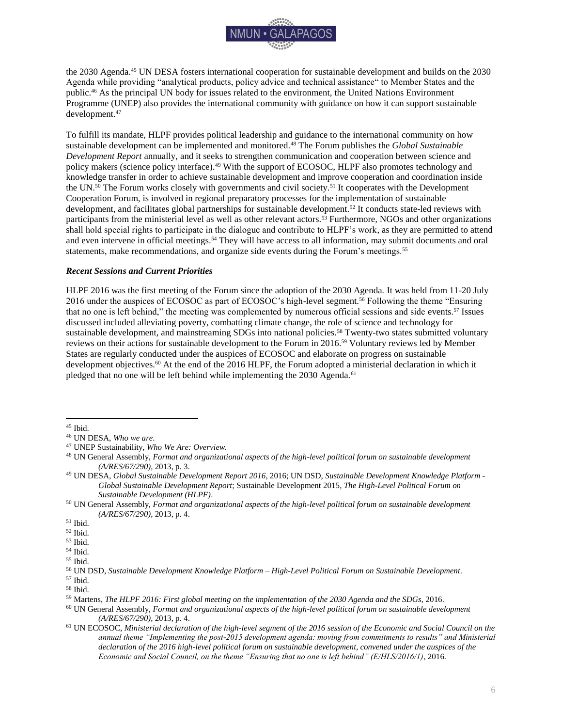

prominent objective of Member States, since Internet access can improve access to services, resources, and information that could help promote sustainable development and target other deficits in rural areas.<sup>154</sup>

However, lack of technology is not the only challenge that rural areas face. Unemployment, gender inequality, lack of competitiveness and access to markets, migration, and depletion of natural resources are conditions that have root causes that go deeper than lack of technology, and can therefore be addressed through innovative approaches that do not necessarily require advanced technology to be implemented.<sup>155</sup> To target unemployment, for instance, governments and civil society could implement initiatives that search for new sources of employment in culture, leisure, services, the environment, or development of traditional know-how, as well as creating possibilities of insertion through voluntary work.<sup>156</sup> Additionally, to approach the lack of competitiveness of agriculture in rural areas, projects that shift the concept of farmer to the concept of "rural entrepreneur" could be of great importance to attract business opportunities.<sup>157</sup> Finally, strategies that improve local conditions for young people to start up a business could help reduce the rural exodus, or migration of people from rural to urban areas.<sup>158</sup>

#### <span id="page-18-0"></span>*Conclusion*

Although the international community was not quite able to achieve all the targets comprising the MDGs, the adoption of the *2030 Agenda for Sustainable Development* presents a new opportunity for states, with the support of the civil society and international institutions and organizations, to tackle the most relevant challenges to sustainable development. Rural areas are most certainly the ones left behind from development initiatives, with higher rates of unemployment, poverty, malnutrition, lack of healthcare access, and overall low levels of productivity and industrialization. Given that large-scale industrialization could bring environmental, socioeconomic, and healthrelated problems, it is essential to place emphasis on initiatives that are sustainable and innovative.

# <span id="page-18-1"></span>*Further Research*

Delegates should take note of the interconnection between all SDGs, since in order to achieve one of the goals, they will have to address others. HLPF convened under the auspices of ECOSOC from 10-19 July 2017 and reviewed a specific set of SDGs comprising Goals 1, 2, 3, 5, 9, 14, and 17. For example, delegates should consider: what can HLPF do concerning poverty (Goal 1), food security (Goal 2), gender equality (Goal 5), or conservation and sustainable use of marine resources (Goal 14) that could help them tackle Goal 9: Build resilient infrastructure, promote inclusive and sustainable industrialization and foster innovation?

# **Annotated Bibliography**

<span id="page-18-2"></span>Inter-Agency and Expert Group on SDG Indicators. (2016). *Final list of proposed Sustainable Development Goal indicators.* Retrieved 31 May 2017 from: [https://sustainabledevelopment.un.org/content/documents/11803Official-](https://sustainabledevelopment.un.org/content/documents/11803Official-List-of-Proposed-SDG-Indicators.pdf)[List-of-Proposed-SDG-Indicators.pdf](https://sustainabledevelopment.un.org/content/documents/11803Official-List-of-Proposed-SDG-Indicators.pdf)

*The list contained in this document comprises the global indicator framework that measures the progress on the accomplishment of the SDGs. Indicators are divided by relevant categories of income, sex, age, race, ethnicity, migratory status, disability, geographic location, among others, and will help delegates analyze where Member States are on the path to achieve the SDGs.* 

United Nations, Department of Economic and Social Affairs. (2016). *Global Sustainable Development Report - 2016 edition.* Retrieved 5 June 2017 from:

<https://sustainabledevelopment.un.org/index.php?page=view&type=400&nr=2328&menu=1515>

*The Global Sustainable Development Report 2016, drafted by 245 scientists and experts based in 27 countries, seeks to contribute to strengthening policies for sustainable development in the context of HLPF. This publication will help delegates to identify fundamental concepts of the topics at hand, such as inclusive institutions and emerging issues for sustainable development. The* 

<sup>154</sup> UN Executive Committee on Economic and Social Affairs, *2017 HLPF Thematic Review of SDG-9: Build resilient infrastructure, promote inclusive and sustainable industrialization and foster innovation*, 2017, p. 3.

<sup>155</sup> LEADER European Observatory, *Innovation and Rural Development*, 1997, p. 12.

<sup>156</sup> Ibid.

<sup>157</sup> Ibid., p. 14.

<sup>158</sup> Ibid., p. 16.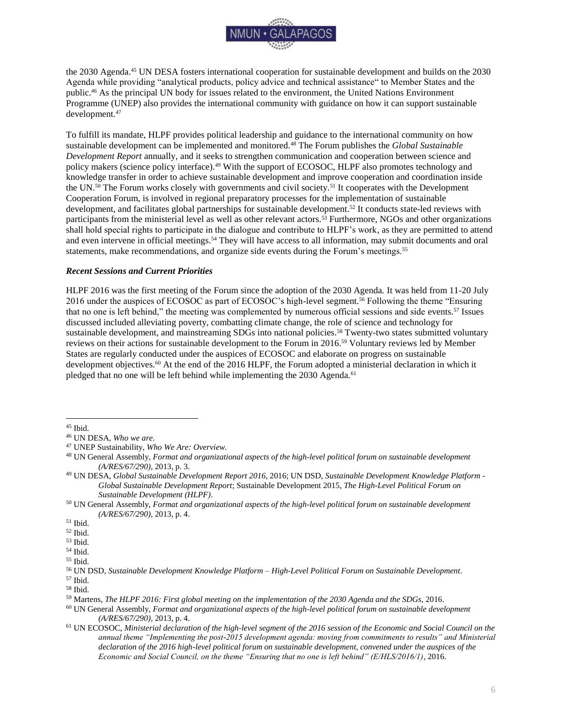

*report establishes key definitions and strategies to target the 2030 Agenda, including examples of strategies used in various SDG areas and how they are geared to reaching those left behind.* 

United Nations, General Assembly, Seventieth session. (2015). *Transforming our world: the 2030 Agenda for Sustainable Development (A/RES/70/1)*. Retrieved 31 August 2017 from:<http://undocs.org/A/RES/70/1> *This landmark resolution establishes the 17 SDGs and 169 targets that comprise the new universal Agenda and seek to build on the Millennium Development Goals for the next fifteen years upon its adoption. This document provides delegates with the principles and vision that must guide the achievement of the SDGs: the eradication of poverty in all its forms. Delegates should review SDG 9 in particular, which relates specifically to sustainable industrial development and innovation.* 

United Nations Industrial Development Organization. (2015). *Industrial Development Report 2016.* Retrieved 2 June 2017 from: [http://www.unido.org/publications/flagship-publications/industrial-development-report](http://www.unido.org/publications/flagship-publications/industrial-development-report-series/industrial-development-report-2016.html)[series/industrial-development-report-2016.html](http://www.unido.org/publications/flagship-publications/industrial-development-report-series/industrial-development-report-2016.html)

*This report's theme is "The Role of Technology and Innovation in Inclusive and Sustainable Industrial Development." It provides delegates with valuable information on the need to move towards sustainable and inclusive development and serves as a guideline on how to promote social inclusiveness in industrialization, create environmentally friendly technologies, and design industrial policies for innovation. Delegates will also find valuable dates and statistics concerning economic growth, technology, social inclusiveness, and productivity, among others.* 

United Nations, Department of Economic and Social Affairs. (2008). *Innovation for Sustainable Development: Local Case Studies from Africa*. Retrieved 2 June 2017 from:

<https://sustainabledevelopment.un.org/index.php?page=view&type=400&nr=35&menu=1515>

*Comprising several case studies on how innovation has been implemented in rural areas in Africa, this document will assist delegates with enriching the discussion on how important implementing innovation in rural areas is for progress and development, and will serve as an example of the initiatives that can be implemented in order to progress towards achieving SDG 9. These initiatives revolve around the enhancement of agriculture & fisheries, water management, protection of ecosystems, health improvement, and sustainable tourism.* 

# **Bibliography**

<span id="page-19-0"></span>Action for Sustainable Development. (2016). *Learning by doing: Civil Society Engagement in the High-level political forum's National Review Process*. Retrieved 15 July 2017 from: <http://www.civicus.org/images/CivilSociety.HLPF.NationalReviewProcess.pdf>

African Civil Society Circle. (2016). *The Roles of Civil Society in Localising the Sustainable Development Goals*. Retrieved 15 July 2017 from: [http://www.acordinternational.org/silo/files/the-roles-of-civil-society-in-localizing](http://www.acordinternational.org/silo/files/the-roles-of-civil-society-in-localizing-the-sdgs.pdf)[the-sdgs.pdf](http://www.acordinternational.org/silo/files/the-roles-of-civil-society-in-localizing-the-sdgs.pdf)

Alpine Convention. (2011). *Third Report on the state of the Alps, Sustainable Rural Development and Innovation*. Retrieved 15 July 2017 from:

[http://www.alpconv.org/en/organization/conference/Documents/PC45\\_B6a\\_long\\_en\\_fin%2021\\_2.pdf](http://www.alpconv.org/en/organization/conference/Documents/PC45_B6a_long_en_fin%2021_2.pdf)

Asia-Plus. (2015). *Almost 80% of the world's poor live in rural areas and rely mainly on agriculture for their incomes*. Retrieved 20 August 2017 from: [http://news.tj/en/news/almost-80-world-s-poor-live-rural-areas-and-rely](http://news.tj/en/news/almost-80-world-s-poor-live-rural-areas-and-rely-mainly-agriculture-their-incomes)[mainly-agriculture-their-incomes](http://news.tj/en/news/almost-80-world-s-poor-live-rural-areas-and-rely-mainly-agriculture-their-incomes)

Devex. (n.d.) *United Nations Industrial Development Organization (UNIDO)*. Retrieved 15 July 2017 from: <https://www.devex.com/organizations/united-nations-industrial-development-organization-unido-49397>

Eurekalert. (2014). *Innovative technologies in rural areas improve agriculture, health care.* Retrieved 20 August 2017 from: [https://www.eurekalert.org/pub\\_releases/2014-06/uosf-iti061814.php](https://www.eurekalert.org/pub_releases/2014-06/uosf-iti061814.php)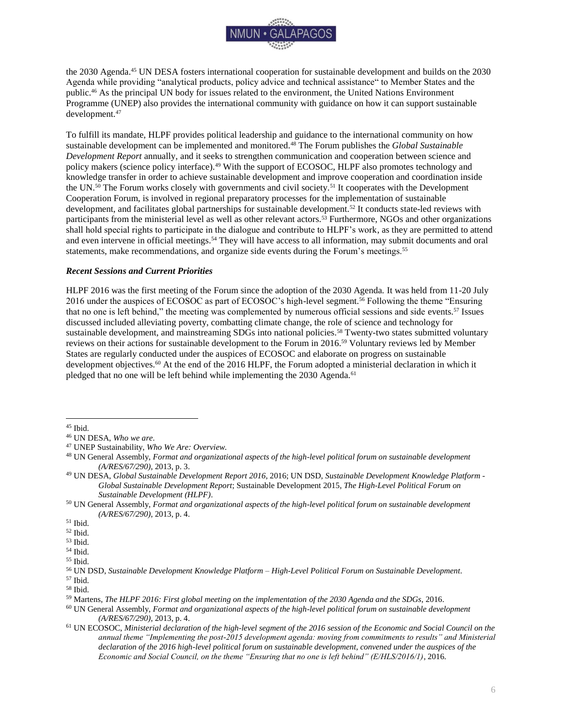

Food and Agriculture Organization of the United Nations. (n.d.). *Sustainable Development Goal 9: Build resilient infrastructure, promote inclusive and sustainable industrialization and foster innovation* [Website]*.* Retrieved 15 July 2017 from: <http://www.fao.org/sustainable-development-goals/goals/goal-9/en>

Hasan, A. (2006). *Orangi Pilot Project: the expansion of work beyond Orangi and the mapping of informal settlements and infrastructure.* Environment & Urbanization, 18 (2): 451-80.

Inter-Agency and Expert Group on SDG Indicators. (2016). *Final list of proposed Sustainable Development Goal indicators.* Retrieved 31 May 2017 from: [https://sustainabledevelopment.un.org/content/documents/11803Official-](https://sustainabledevelopment.un.org/content/documents/11803Official-List-of-Proposed-SDG-Indicators.pdf)[List-of-Proposed-SDG-Indicators.pdf](https://sustainabledevelopment.un.org/content/documents/11803Official-List-of-Proposed-SDG-Indicators.pdf)

International Labour Organization. (n.d.). *Decent Work for Food Security and Sustainable Rural Development (DW4FS).* Retrieved 16 July 2017 from: [http://www.ilo.org/jakarta/whatwedo/projects/WCMS\\_308006/lang-](http://www.ilo.org/jakarta/whatwedo/projects/WCMS_308006/lang--en/index.htm) [en/index.htm](http://www.ilo.org/jakarta/whatwedo/projects/WCMS_308006/lang--en/index.htm)

International Labour Organization. (n.d.). *About the ILO* [Website]*.* Retrieved 16 July 2017 from: <http://www.ilo.org/global/about-the-ilo/lang--en/index.htm>

International Labour Organization. (n.d.). *The 2030 Agenda for sustainable development* [Website]*.* Retrieved 16 July 2017 from:<http://www.ilo.org/global/topics/sdg-2030/lang--en/index.htm>

Kumar, A. (n.d.). *Major Characteristics of Developing Countries.* Retrieved 15 July 2017 from: <http://web.uvic.ca/~kumara/econ420/characteristics-dev.pdf>

LEADER European Observatory. (1997). *Innovation and Rural Development*. Retrieved 27 August 2017 from: [http://ec.europa.eu/agriculture/rur/leader2/rural-en/biblio/inno/innov.pdf.](http://ec.europa.eu/agriculture/rur/leader2/rural-en/biblio/inno/innov.pdf)

Organisation for Economic Co-operation and Development. (2007). *Innovation in Rural Areas: An Exception or a Must?* [Website]. Retrieved 15 July 2017 from: <http://www.oecd.org/spain/innovationinruralareasanexceptionoramust.htm>

United Nations, Commission on Sustainable Development. (2009). *Report on the 17th session of CSD (E/2009/29- E/CN.17/2009/19).* Retrieved 14 July 2017 from:<https://sustainabledevelopment.un.org/index.php?menu=1138>

United Nations Conference on Environment and Development. (1992). *Agenda 21* [Outcome Document]. Retrieved 16 July 2017 from:<https://sustainabledevelopment.un.org/content/documents/Agenda21.pdf>

United Nations, Department of Economic and Social Affairs. (n.d.). *High-level Political Forum on Sustainable Development 2016 - Ensuring that no one is left behind* [Website]. Retrieved 14 July 2017 from: <https://sustainabledevelopment.un.org/hlpf/2016>

United Nations, Department of Economic and Social Affairs. (n.d.). *High-level political forum on sustainable development in 2017 (HLPF 2017)* [Website]. Retrieved 27 August 2017 from: <http://www.un.org/esa/forests/events/hlpf-2017/index.html>

United Nations, Department of Economic and Social Affairs. (2008). *Innovation for Sustainable Development: Local Case Studies from Africa*. Retrieved 2 June 2017 from: <https://sustainabledevelopment.un.org/index.php?page=view&type=400&nr=35&menu=1515>

United Nations, Department of Economic and Social Affairs. (2015). *The Millennium Development Goals Report 2015*. Retrieved 16 July 2017 from: http://www.un.org/ [goals/2015\\_MDG\\_Report/pdf/MDG%202015%20rev%20\(July%201\).pdf](http://www.un.org/millenniumgoals/2015_MDG_Report/pdf/MDG%202015%20rev%20(July%201).pdf)

United Nations, Department of Economic and Social Affairs. (2016). *Global Sustainable Development Report - 2016 edition.* Retrieved 5 June 2017 from: <https://sustainabledevelopment.un.org/index.php?page=view&type=400&nr=2328&menu=1515>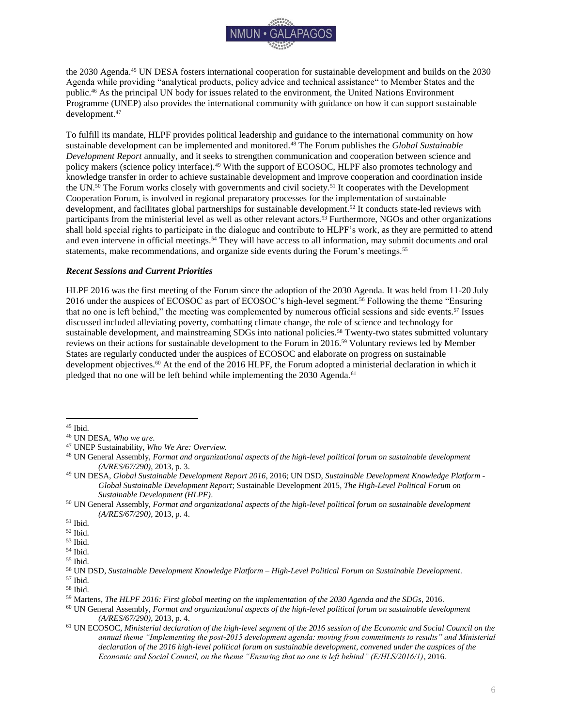

United Nations, Department of Economic and Social Affairs. (2017). *President's Summary of 2017 High‐level political forum on sustainable development*. Retrieved 27 August 2017 from: [https://sustainabledevelopment.un.org/content/documents/16673HLPF\\_2017\\_Presidents\\_summary.pdf](https://sustainabledevelopment.un.org/content/documents/16673HLPF_2017_Presidents_summary.pdf)

United Nations, Department of Public Information. (2017, May 31). *Better Policies, Investment in Infrastructure, Industrialization Key for Creating Thriving, Sustainable Societies, Speakers Tell Economic and Social Council* [Meetings Coverage]. Retrieved 14 July 2017 from:<https://www.un.org/press/en/2017/ecosoc6845.doc.htm>

United Nations Development Programme. (n.d.). *About Us* [Website]*.* Retrieved 15 July 2017 from: [http://www.undp.org/content/undp/en/home/operations/about\\_us.html](http://www.undp.org/content/undp/en/home/operations/about_us.html)

United Nations Development Programme. (n.d.). *Goal 9 Targets* [Website]. Retrieved 14 July 2017 from: [http://www.undp.org/content/undp/en/home/sustainable-development-goals/goal-9-industry-innovation-and](http://www.undp.org/content/undp/en/home/sustainable-development-goals/goal-9-industry-innovation-and-infrastructure/targets/)[infrastructure/targets/](http://www.undp.org/content/undp/en/home/sustainable-development-goals/goal-9-industry-innovation-and-infrastructure/targets/)

United Nations Development Programme. (n.d.). *Sustainable Development* [Website]*.* Retrieved 16 July 2017 from: <http://www.undp.org/content/undp/en/home/ourwork/sustainable-development/overview.html>

United Nations Development Programme*.* (n.d.). *Sustainable Development Goals* [Website]*.* Retrieved 14 July 2017 from[: http://www.undp.org/content/undp/en/home/sustainable-development-goals.html](http://www.undp.org/content/undp/en/home/sustainable-development-goals.html)

United Nations Development Programme*.* (2017). *Ensure environmental sustainability: Where do we stand?*  [Website]. Retrieved 15 July 2017 from: [http://www.undp.org/content/undp/en/home/sdgoverview/mdg\\_goals/mdg7/](http://www.undp.org/content/undp/en/home/sdgoverview/mdg_goals/mdg7/)

United Nations, Economic and Social Council. (2017). *Ministerial declaration of the high-level segment of the 2017 session of the Economic and Social Council on the annual theme "Eradicating poverty in all its forms and dimensions through promoting sustainable development, expanding opportunities and addressing related challenges" and Ministerial declaration of the 2017 high-level political forum on sustainable development, convened under the auspices of the Economic and Social Council, on the theme "Eradicating poverty and promoting prosperity in a changing world" (E/HLS/2017/1)*. Retrieved 30 August 2017 from:<http://undocs.org/E/HLS/2017/1>

United Nations Economic Commission for Africa & United Nations Industrial Development Organization. (2006). *African Regional Implementation Review for the Commission on Sustainable Development (CSD-14)* [Report]. Retrieved 31 August 2017 from: [https://sustainabledevelopment.un.org/content/documents/ecaRIM\\_bp3.pdf](https://sustainabledevelopment.un.org/content/documents/ecaRIM_bp3.pdf)

United Nations Entity for Gender Equality and the Empowerment of Women. (n.d.). *Commission on the Status of Women*. Retrieved 15 July 2017 from:<http://www.unwomen.org/en/csw>

United Nations Executive Committee on Economic and Social Affairs. (2017). *2017 HLPF Thematic Review of SDG-9: Build resilient infrastructure, promote inclusive and sustainable industrialization and foster innovation*. Retrieved 29 August 2017 from: [https://sustainabledevelopment.un.org/content/documents/14363SDG9format](https://sustainabledevelopment.un.org/content/documents/14363SDG9format-revOD.pdf)[revOD.pdf](https://sustainabledevelopment.un.org/content/documents/14363SDG9format-revOD.pdf)

United Nations, General Assembly, Fifty-fifth session. (2000). *United Nations Millennium Declaration (A/RES/55/2)*. Retrieved 15 July 2017 from:<http://undocs.org/A/RES/55/2>

United Nations, General Assembly, Forty-first session. (1986). *Declaration on the Right to Development (A/RES/41/128)*. Adopted on the report of the Third Committee (A/41/925). Retrieved 16 July 2017 from: <http://undocs.org/A/RES/41/128>

United Nations, General Assembly, Sixty-ninth session. (2015). *Addis Ababa Action Agenda of the Third International Conference on Financing for Development (Addis Ababa Action Agenda) (A/RES/69/313)*. Retrieved 16 July 2017 from:<http://undocs.org/A/RES/69/313>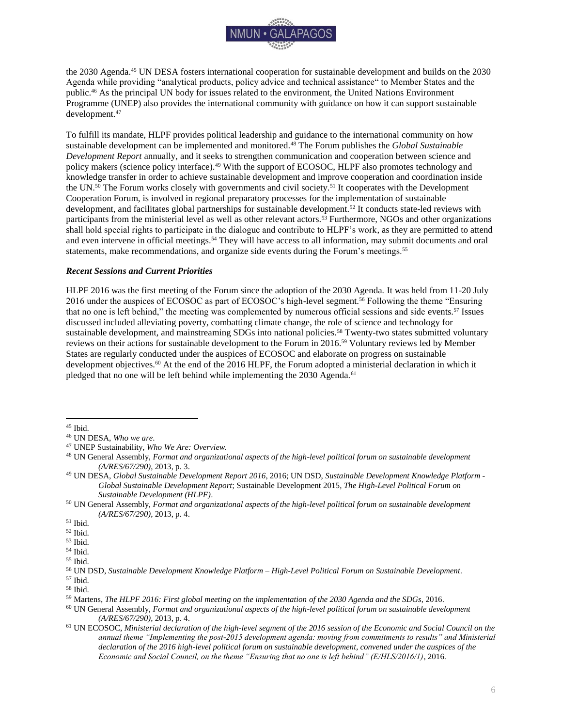

United Nations, General Assembly, Seventieth session. (2015). *Transforming our world: the 2030 Agenda for Sustainable Development (A/RES/70/1)*. Retrieved 31 August 2017 from:<http://undocs.org/A/RES/70/1>

United Nations Industrial Development Organization. (n.d.). *Inclusive and Sustainable Industrial Development in Latin America and the Caribbean Region* [Report]. Retrieved 15 July 2017 from: [https://isid.unido.org/files/ISID/UNIDO\\_in\\_LAC\\_Region.pdf](https://isid.unido.org/files/ISID/UNIDO_in_LAC_Region.pdf)

United Nations Industrial Development Organization. (n.d.). *Sustainable Industrial Development for Shared Prosperity: ISID Programme for Country Partnership [Report]. Retrieved 15 July 2017 from:* [http://www.un.org/esa/ffd/wp-content/uploads/sites/2/2015/10/PCP-brochure\\_final-highres1.pdf](http://www.un.org/esa/ffd/wp-content/uploads/sites/2/2015/10/PCP-brochure_final-highres1.pdf)

United Nations Industrial Development Organization. (2013, December 2). *UNIDO General Conference adopts Lima Declaration with focus on inclusive and sustainable industrial development* [News Article]. Retrieved 31 August 2017 from: [http://www.unido.org/news/press/unido-general-conference-adopts-lima-declaration-with-focus-](http://www.unido.org/news/press/unido-general-conference-adopts-lima-declaration-with-focus-.html) [.html](http://www.unido.org/news/press/unido-general-conference-adopts-lima-declaration-with-focus-.html)

United Nations Industrial Development Organization. (2014). *Inclusive and Sustainable Industrial Development*  [Brochure]*.* Retrieved 15 July 2017 from: [https://www.unido.org/fileadmin/user\\_media\\_upgrade/Who\\_we\\_are/Structure/Director-](https://www.unido.org/fileadmin/user_media_upgrade/Who_we_are/Structure/Director-General/ISID_Brochure_web_singlesided_12_03.pdf)[General/ISID\\_Brochure\\_web\\_singlesided\\_12\\_03.pdf](https://www.unido.org/fileadmin/user_media_upgrade/Who_we_are/Structure/Director-General/ISID_Brochure_web_singlesided_12_03.pdf)

United Nations Industrial Development Organization. (2015). *Industrial Development Report 2016.* Retrieved 2 June 2017 from: [http://www.unido.org/publications/flagship-publications/industrial-development-report](http://www.unido.org/publications/flagship-publications/industrial-development-report-series/industrial-development-report-2016.html)[series/industrial-development-report-2016.html](http://www.unido.org/publications/flagship-publications/industrial-development-report-series/industrial-development-report-2016.html)

United Nations, World Commission on Environment and Development. (1987). *Our Common Future (Brundtland Report)*. Retrieved 15 July 2017 from:<http://undocs.org/A/42/427>

YaleGlobal Online. (2013). *China: The Dark Side of Growth*. Retrieved 15 July 2017 from: <http://yaleglobal.yale.edu/content/china-dark-side-growth>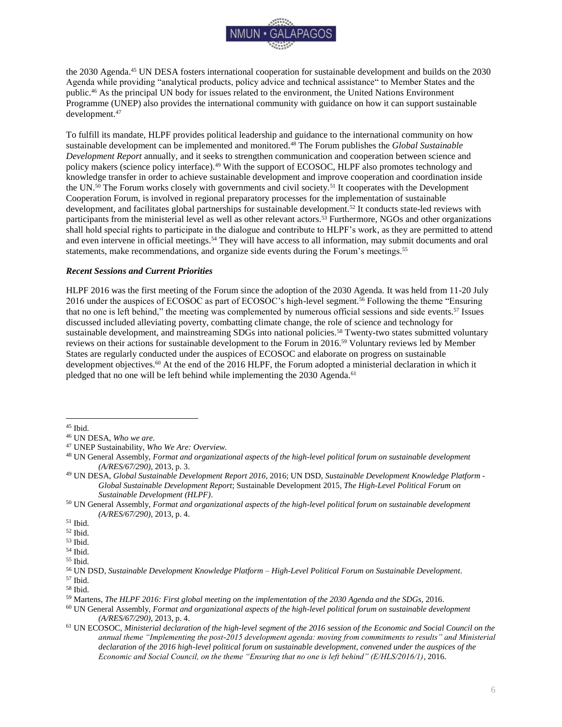

# <span id="page-23-0"></span>**II. Implementing SDG 6: Ensure Availability and Sustainable Management of Water and Sanitation for All**

*"The new agenda is a promise by leaders to all people everywhere. It is a universal, integrated and transformative vision for a better world. It is an agenda for people, to end poverty in all its forms. An agenda for the planet, our common home. An agenda for shared prosperity, peace and partnership. It conveys the urgency of climate action. Above all, it pledges to leave no one behind."*<sup>159</sup>

# <span id="page-23-1"></span>*Introduction*

Since its inception, the United Nations (UN) has sought equality and prosperity for all human beings by "reaffirming faith in fundamental human rights, in the dignity and worth of the human person, in the equal rights of men and women and of nations large and small."<sup>160</sup> Likewise, by "confirming that the right to development is an inalienable human right," the UN has committed to improving the conditions in which people live. <sup>161</sup> Human beings have always been at the center of concerns for sustainable development, since "they are entitled to a healthy and productive life in harmony with nature."<sup>162</sup> It is this principle that drives the UN's commitment to promoting sustainable development, as expressed in the *Millennium Declaration* (2000) and the eight Millennium Development Goals (MDGs). <sup>163</sup> Within this document, the topic of sustainable development was already displayed in MDG 7: "Ensure environmental sustainability."<sup>164</sup> With target 7.C, access to safe drinking water and basic sanitation gained special attention.<sup>165</sup>

Not every MDG was achieved, so Member States decided that efforts could not end with the *Millennium Declaration*. <sup>166</sup> The resulting *2030 Agenda for Sustainable Development* (2015) thus reaffirmed and built upon MDG commitments across all societies.<sup>167</sup> With the 17 Sustainable Development Goals (SDGs) and their 169 targets, Member States "have embarked on this collective journey, [and] pledge that no one will be left behind."<sup>168</sup> SDG 6, which is "to ensure availability and sustainable management of water and sanitation for all," builds on MDG 7 and ensures that water and sanitation remain a priority in the 2030 Agenda.<sup>169</sup> All the objectives specified are meant to motivate societies to take effective actions in order to achieve them, thereby protecting human beings and the planet.<sup>170</sup> As a matter of fact, in light of the achievements of the expired *Millennium Declaration* and the MDGs, societies were able to see in the new agenda a way of "transforming the world to better meet human needs, while protecting the environment, ensuring peace and realizing human rights."<sup>171</sup>

#### <span id="page-23-2"></span>*International and Regional Framework*

The *Universal Declaration of Human Rights* (UDHR) (1948) specifies in article 25 that all human beings are entitled to have a standard of living adequate for their health.<sup>172</sup> Although safe drinking water and proper sanitation services are necessary to maintaining good health, the right to these elements was not explicitly stated in the UDHR.<sup>173</sup> It was not until the 1977 *Mar del Plata Action Plan*, developed at the UN Water Conference, that access to water and sanitation was finally qualified as a human right.<sup>174</sup> Nonetheless, more needed to be done on the part of

<sup>159</sup> UN DESA, *The Sustainable Development Goals Report 2016*, 2016, p. 2.

<sup>160</sup> *Charter of the United Nations*, 1945.

<sup>161</sup> UN General Assembly, *Declaration on the Right to Development (A/RES/41/128)*, 1986.

<sup>162</sup> WHO Executive Board, *United Nations Conference on Sustainable Development Rio +20*, 2012.

<sup>163</sup> UN General Assembly, *Declaration on the Right to Development (A/RES/41/128)*, 1986.

<sup>164</sup> UN General Assembly, *United Nations Millennium Declaration (A/RES/55/2)*, 2000.

<sup>165</sup> Ibid.

<sup>166</sup> UN General Assembly, *Transforming our world: the 2030 Agenda for Sustainable Development (A/RES/70/1)*, 2015.

<sup>167</sup> UN DESA, *The Sustainable Development Goals Report 2016*, p. 2.

<sup>168</sup> UN General Assembly, *Transforming our world: the 2030 Agenda for Sustainable Development (A/RES/70/1)*, 2015. <sup>169</sup> Ibid.

<sup>170</sup> UN General Assembly, *Transforming our world: the 2030 Agenda for Sustainable Development (A/RES/70/1)*, 2015.

<sup>171</sup> UN Department of Information, *The Millennium Development Goals Report 2015,* p. 9.

<sup>172</sup> UN, General Assembly, *Universal Declaration of Human Rights (A/RES/217 A (III))*, 1948.

<sup>173</sup> UN Regional Information Centre for Western Europe, *Making water a human right*, 2017.

<sup>174</sup> UN Water Conference, *Mar del Plata Action Plan*, 1977.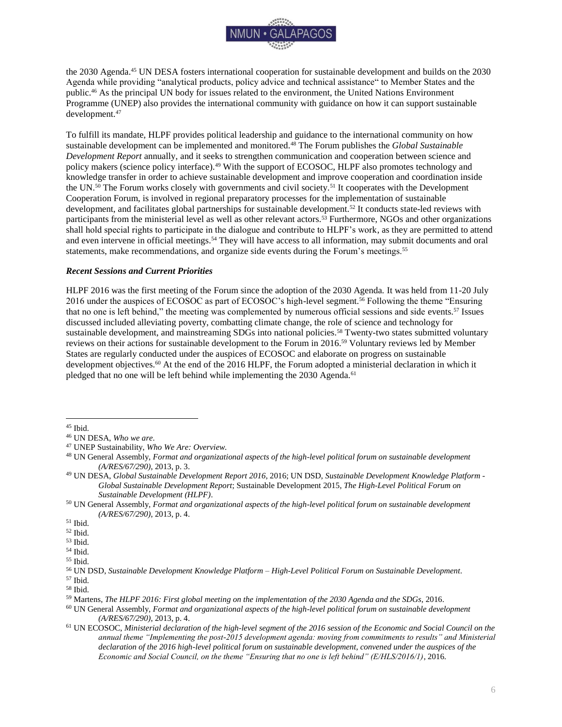

all UN Member States to ensure the right to water and sanitation. Accordingly, in 2010, the General Assembly adopted a resolution in which it declared water and sanitation as universal human rights.<sup>175</sup>

Changing the way water and sanitation are managed to fit the parameters of SDG 6 requires economic resources to adapt to the needs of the new agenda.<sup>176</sup> There have been multiple actions implemented at the international level with respect to financing the SDGs.<sup>177</sup> A key document is the *Addis Ababa Action Agenda* (2015).<sup>178</sup> Adopted in July 2015 at the Third International Conference on Financing for Development, the *Addis Ababa Action Agenda* anticipated the adoption of the SDGs and set out a strategy for financial support thereof.<sup>179</sup> Another is the *Monterrey Consensus* (2002), considered one of the pillars and main supporting documents for the former *Millennium Declaration*, since they shared common ideals: "to eradicate poverty, achieve sustained economic growth and promote sustainable development."<sup>180</sup> Financial support through strategies such as the *Addis Ababa Action Agenda*  and the *Monterrey Consensus* is necessary for sustainable development, as voluntary economic donations at their highest level represent only 2% of official development assistance.<sup>181</sup>

The *Millennium Declaration* was set at the beginning of the century as a "collective responsibility to uphold the principles of human dignity, equality and equity at the global level."<sup>182</sup> The MDGs helped improve the lives of more than one billion people in different ways, including advancing the fight against hunger, decreasing the number of people living in extreme poverty, and giving girls more opportunities to attend school.<sup>183</sup> MDG 7 specifically tackled issues related to environmental sustainability.<sup>184</sup> Indeed, Target 7.C was to "halve the proportion of the population without sustainable access to safe drinking water and basic sanitation."<sup>185</sup> Clear progress was made toward reaching this objective. For instance, in 2015, 91% of the global population already had access to an improved source of drinking water, marking an increase of around 25% compared to statistics from 1990.<sup>186</sup> Moreover, almost half of the global population gained access to piped drinking water.<sup>187</sup> In the issue of sanitation, by 2015, there were 147 countries that had achieved the target of providing safe and potable water to their people.<sup>188</sup> In addition, 2.1 billion individuals had access to a better system of sanitation.<sup>189</sup> However, despite positive numbers and the changes that took place during the *Millennium Declaration*'s 15-year mandate, there is much more to be done.<sup>190</sup>

Created almost 17 years ago, the MDGs were very ambitious but did result in significant achievements, leaving behind plenty of successes for the SDGs to follow on.<sup>191</sup> The importance of continuing that momentum led to the current *2030 Agenda for Sustainable Development*. <sup>192</sup> One main difference between the MDGs and SDGs is the idea that "what gets measured gets done": compared to a total of eight MDGs, the 2030 Agenda features 17 SDGs and 169 targets.<sup>193</sup> Despite the small amount of time that has passed since the 2030 Agenda came into effect, concrete improvements have already been made.<sup>194</sup> In regard to ensuring availability and sustainable management of water and sanitation for all, encouraging data has emerged. For instance, from 2000 to 2015, the number of people using an improved sanitation system rose from 59% to around 68% of the global population.<sup>195</sup> In addition, a 2016-2017

<sup>175</sup> UN General Assembly, *The human right to water and sanitation (A/RES/64/292)*, 2010.

<sup>176</sup> UN DESA, *The Sustainable Development Goals Report 2016*, p. 8.

<sup>177</sup> World Bank Group, *Aid Flows to the Water Sector*, 2016.

<sup>178</sup> UN General Assembly, *Addis Ababa Action Agenda of the Third International Conference on Financing for Development (Addis Ababa Action Agenda) (A/RES/69/313)*, 2015.

<sup>179</sup> Ibid.

<sup>180</sup> UN International Conference on Financing for Development, *Monterrey Consensus on Financing for Development,* 2012.

<sup>181</sup> World Bank Group, *Aid Flows to the Water Sector*, 2016.

<sup>182</sup> UN General Assembly, *United Nations Millennium Declaration (A/RES/55/2)*, 2000.

<sup>183</sup> UN DESA, *The Millennium Development Goals Report 2015*, 2015, p. 3.

<sup>184</sup> Ibid., p. 52.

<sup>185</sup> Ibid., p. 58.

<sup>186</sup> Ibid., p. 7.

 $^{\rm 187}$  Ibid.

<sup>188</sup> Ibid.

<sup>189</sup> Ibid.

<sup>190</sup> UN DESA, *The Sustainable Development Goals Report 2016*, 2016, Foreword.

<sup>191</sup> UN DESA, *The Millennium Development Goals Report 2015*, 2015, p. 3.

<sup>192</sup> WHO & UNICEF, *Progress on Drinking Water, Sanitation and Hygiene: 2017 Update and SDG Baselines*, 2017, p. iii.

<sup>193</sup> UN DESA, *The Millennium Development Goals Report 2015*, 2015, p. 10.

<sup>194</sup> UN DESA, *The Sustainable Development Goals Report 2016*, 2016, p. 6.

<sup>195</sup> UN DESA, *The Sustainable Development Goals Report 2016*, 2016, p. 6.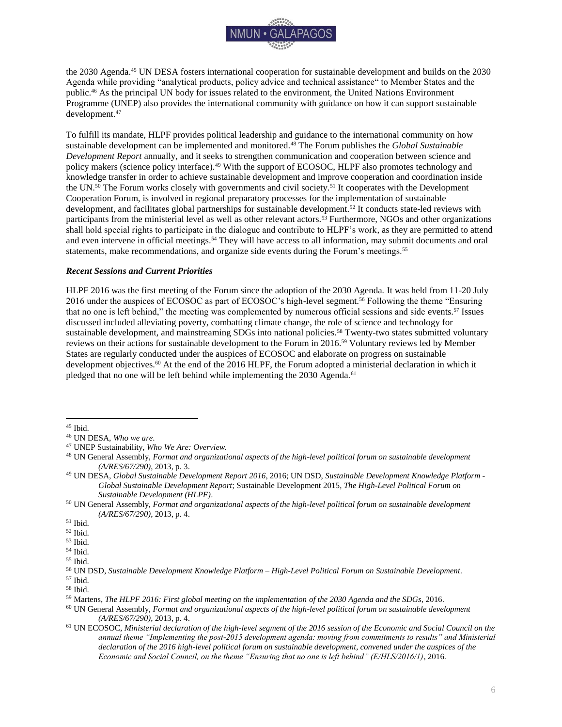

survey showed that 80% of 74 responding countries have clearly defined procedures intended to engage service users/communities in water and sanitation management.<sup>196</sup>

# *SDG 6 Targets*

In order to accomplish SDG 6, there are specific targets and indicators to guide present and future actions. They set boundaries and expectations for the process of ensuring safer water and sanitation for all. The first target is achieving universal and equitable access to water, the indicator for which is the amount of people with access to safe drinking water.<sup>197</sup> The second target is to provide equitable sanitation and hygiene, paying special attention to girls and women in less favorable situations.<sup>198</sup> This target is measured by the proportion of individuals using safe sanitation services.<sup>199</sup> The third is to improve water quality by preventing all forms of water pollution, such as chemical contamination, in addition to increasing the practices of recycling and reusing.<sup>200</sup> This target will be gauged by two indicators, namely, the amount of wastewater that is being treated and the number of bodies of water that present good ambient conditions.<sup>201</sup> The fourth SDG 6 target focuses on increasing the efficient use of water so that the number of people affected by its scarcity will decrease.<sup>202</sup> This target will be assessed based on progress made towards water-use efficiency and level of water stress.<sup>203</sup> The fifth target is to ensure integrated water resources management through transboundary cooperation.<sup>204</sup> It will be measured by the degree of integrated water resources that have been implemented for proper management of water resources. Unlike the first five targets, which are set for 2030, the sixth target is scheduled to 2020; it consists of protecting water-related natural environments, such as mountains and rivers.<sup>205</sup> Progress for this target will be determined by the changing size of water-related ecosystems over time. Target 6.a aims to enhance international cooperation and capacity-building support to developing countries in order to facilitate the objectives mentioned above.<sup>206</sup> The last target, 6.b, calls for supporting local communities and encouraging them to improve water and sanitation services.<sup>207</sup>

#### <span id="page-25-0"></span>*Role of the International System*

Upon requests by Member States for "a universal, intergovernmental, high-level political forum, building on strengths, experiences, and resources" to keep track of the development of the 2030 Agenda, the High-level Political Forum on Sustainable Development (HLPF) was established.<sup>208</sup> Indeed, HLPF "was mandated to play the central role in overseeing follow-up and review processes at the global level."<sup>209</sup> Therefore, Member States have decided that HLPF will develop reviews on the progress of the 2030 Agenda.<sup>210</sup> These reviews are meant to ensure that no one is left behind: both developed and developing countries, as well as any other entity that the UN may find significant, will be taken into account.<sup>211</sup> One of the most important topics is water and sanitation, one that is at the very center of both sustainable development and the survival of people and the planet: SDG 6 addresses issues related not only to drinking water, sanitation, and hygiene, but also to the quality and sustainability of water resources worldwide.<sup>212</sup> Various entities have partnered with HLPF to support its work toward achieving the SDGs. It must be mentioned that diversity, inclusion, and accessibility are of great importance to HLPF.<sup>213</sup> It is because of

 $\overline{a}$ 

- <sup>199</sup> Ibid.
- <sup>200</sup> Ibid.
- <sup>201</sup> Ibid.
- <sup>202</sup> Ibid.
- <sup>203</sup> Ibid. <sup>204</sup> Ibid.

<sup>209</sup> UN ECOSOC, *Progress towards the Sustainable Development Goals: Report of the Secretary-General (E/2016/75)*, 2016.

<sup>196</sup> UN ECOSOC, *Progress towards the Sustainable Development Goals: Report of the Secretary-General (E/2016/75)*, 2016.

<sup>197</sup> UN General Assembly, *Transforming our world: the 2030 Agenda for Sustainable Development (A/RES/70/1)*, 2015.

<sup>198</sup> Ibid.

<sup>205</sup> Ibid.

<sup>206</sup> Ibid.

<sup>207</sup> Ibid.

<sup>208</sup> UN General Assembly, *Format and organizational aspects of the high-level political forum on sustainable development (A/RES/67/290)*, 2013.

<sup>210</sup> UN General Assembly, *Transforming our world: the 2030 Agenda for Sustainable Development (A/RES/70/1)*, 2015. <sup>211</sup> Ibid.

<sup>212</sup> UN ECOSOC, *Progress towards the Sustainable Development Goals: Report of the Secretary-General (E/2017/66)*, 2017.

<sup>213</sup> UN DESA, *Expert Group Meeting: Enhancing Major Groups and Other Stakeholders (MGoS) Engagement in National Level Reviews*, 2017, p. 2.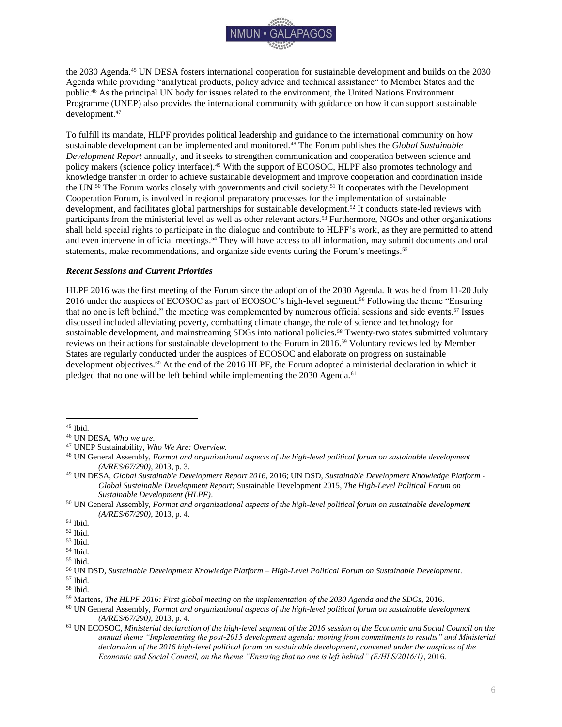

these values that HLPF has worked to facilitate the sharing of experiences, such as lessons, successes, and challenges, among civil society, the private sector, other UN institutions, major groups, and other stakeholders.<sup>214</sup>

Other UN system entities and related organizations working to achieve SDG 6 include the UN Human Settlements Programme (UN-Habitat), which focuses on water and sanitation in the urban context: one third of the SDG indicators have a direct connection to urban policies and therefore a clear impact on cities.<sup>215</sup> UN-Habitat provides assistance to local and national governments in line with its policy expertise in sustainable urban development, including on better usage and management of water and sanitation.<sup>216</sup> Likewise, the World Health Organization (WHO) pays special attention to SDG 6, due to its direct connection to health.<sup>217</sup> Indeed, it has been estimated that 22% of all deaths are caused by dietary risks; a healthy diet requires plenty of water not only for proper hydration but also for proper digestion.<sup>218</sup> The work of UN-Habitat and WHO on water and sanitation, along with that of over 30 other UN organizations, is coordinated by UN-Water.<sup>219</sup> In 1990, UN-Water, with the participation of the UN Children's Fund (UNICEF) and WHO, established the Joint Monitoring Programme for Water Supply, Sanitation and Hygiene (JMP), which published global updates throughout the MDG period and will do the same with the SDGs.<sup>220</sup>

In 2016, former Secretary-General Ban Ki-Moon and the President of the World Bank Group, Jim Yong Kim, created the High-Level Panel on Water, which comprises 11 state leaders and one special adviser.<sup>221</sup> The Panel's main target is to empower and enhance the most results-driven initiatives that pertain to the theme of water within the SDGs.<sup>222</sup> The Panel acknowledges that there are many challenges ahead; therefore, it is constantly emphasizing the fundamental importance of cooperation between governments, civil society, and the private sector.<sup>223</sup>

Water and sanitation are also addressed by regional organizations, both within and outside of the UN system. The regional commissions of the Economic and Social Council, including the Economic Commission for Europe and the Economic Commission for Latin America and the Caribbean, regularly include issues related to water and sanitation on their agendas, and they provide relevant input to HLPF sessions.<sup>224</sup> The African Ministers Council on Water (AMCOW) and the African Union Commission, with the guidance of UN-Water, held a workshop in May 2017 on SDG 6 and its monitoring and reporting at the global level.<sup>225</sup> Relevant regional commitments include the *Sharm El Sheikh Commitments* (2008), the *N'gor Declaration on Water Security and Sanitation* (2015), *African Water Vision 2025* (2000) and *Agenda 2063* (2015).<sup>226</sup> Similarly, the Organization of American States (OAS) is working to improve capacity-building efforts on water governance by implementing intra-state transfer of technology and information, alongside the Inter-American Program on Sustainable Development (PIDS).<sup>227</sup>

Civil society organizations (CSO) work alongside governments in furthering SDG 6 and promoting the remaining SDGs. For example, in July 2016, more than 100 representatives of CSOs including Simavi, End Water Poverty, WaterAid, and Sanitation and Water for All participated in the African Civil Society Forum, ahead of the 6<sup>th</sup> Africa Water Week.<sup>228</sup> Attending CSOs committed to continue working with governments to support the implementation of

<sup>214</sup> Ibid., p. 1.

<sup>215</sup> UN-Habitat, *UN-HABITAT for the Sustainable Development Goals*, 2017.

<sup>216</sup> Ibid.

<sup>217</sup> WHO, *World Health Statistics: 2017*, 2017, p. vi.

<sup>218</sup> Ibid., p. 21.

<sup>219</sup> UN-Water, *About UN-Water*; WHO & UNICEF, *Progress on Drinking Water, Sanitation and Hygiene: 2017 Update and SDG Baselines*, 2017, p. iii.

<sup>220</sup> Ibid.

<sup>221</sup> High Level Panel on Water, *Action Plan*, 2016, p. 3.

<sup>222</sup> Ibid., p. 6.

<sup>223</sup> Ibid., pp. 7, 9.

<sup>224</sup> UN HLPF, *Reports of the regional forums on sustainable development (E/HLPF/2017/1)*, 2017; UNECE, *Annotated provisional agenda for the first session (ECE/AC.25/2017/1)*, 2017; UN HLPF, *Input from the Economic Commission*  for Latin America and the Caribbean to the high-level political forum on sustainable development *(E/HLPF/2017/1/Add.3)*, 2017.

<sup>225</sup> UN-Water, *Africa water and sanitation sector monitoring – training workshop in Accra,* 2017.

<sup>226</sup> Ibid.

<sup>227</sup> Organization of American States, *Inter-American Program for Sustainable Development (PIDS): 2016-2021*, 2016.

<sup>228</sup> Simavi, *Africa's Civil Society agree to support implementation of SDG6 and N'gor Declaration*.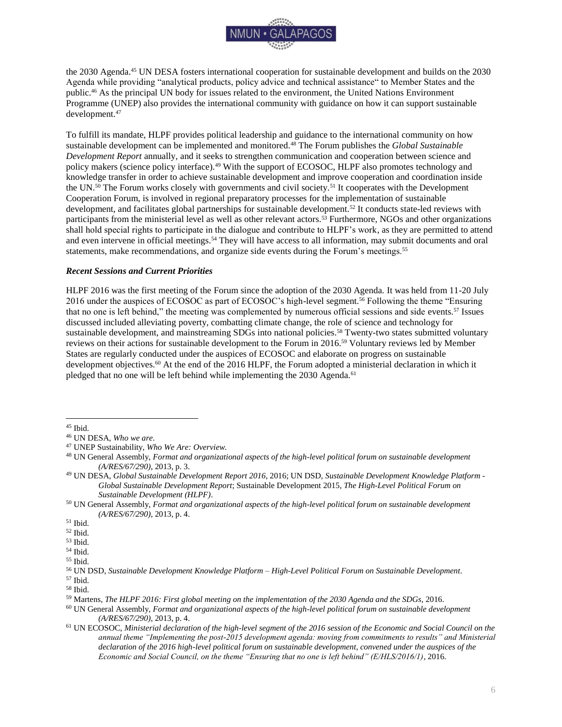

the SDGs and the N'gor Declaration.<sup>229</sup> Another example is Watershed, a partnership between the Dutch Ministry of Foreign Affairs, IRC, Simavi, Wetlands International and Akvo, focuses on strengthening CSO capacity.<sup>230</sup> Other activities include organizing workshops through online platforms, facilitating multi-stakeholder dialogue for future lobbying and advocacy, and providing relevant training to CSOs and government workers.<sup>231</sup>

# <span id="page-27-0"></span>*The Importance of Water and Sanitation*

#### *A Human Right, Not a Privilege*

Given that clean water and sanitation have been recognized as universal human rights, it is important to ensure this is being upheld by all actors.<sup>232</sup> Access to safe and reliable services is vital to survival and would have a number of positive effects.<sup>233</sup> These include more effective prevention of various illnesses, improved health conditions, increased gender and income equality, better educational outcomes, and greater economic productivity.<sup>234</sup>

# *The Foundation of Sustainable Development*

As the former Secretary-General stated in the foreword of the last report on the achievements and missing actions of the MDGs, "[W]e need to tackle root causes and do more to integrate the economic, social and environmental dimensions of sustainable development."<sup>235</sup> Water is crucial for the survival of all living beings; therefore, it is a basic pillar for economic and social growth.<sup>236</sup> In fact, "water is a vital factor of production, so diminishing water supplies can translate into slower growth that cloud economic prospects."<sup>237</sup> Furthermore, mismanagement of water is often disproportionately more harmful in poorer societies, which tend to live on marginal land areas that are more prone to environmental problems.<sup>238</sup> Therefore, the poorest populations end up at a higher risk from contaminated water and inadequate sanitation.<sup>239</sup>

# *Relationship with Other SDGs*

Water and sanitation are essential to the overall achievement of the 2030 Agenda.<sup>240</sup> Indeed, both play an important role in areas such as education, health, poverty reduction, and climate change.<sup>241</sup> Water management and sanitation are therefore crucial not only to achieving the SDGs, but also to the possibility of shared prosperity.<sup>242</sup> Due to the interconnectedness of the different aspects of sustainable development, water is seen as the common currency that links nearly every SDG; for instance, ample water supplies are essential to food production and food security.<sup>243</sup> Therefore, SDG 2, which focuses on ending hunger, achieving food security, improving nutrition, and promoting sustainable agriculture, is directly linked to SDG 6.<sup>244</sup> Likewise, "clean and safe drinking water and sanitation systems are necessary" for achieving SDG 3 on health, since better systems are less prone to bacteria, viruses, and disease-transmitting insects.<sup>245</sup>

# <span id="page-27-1"></span>*Present Actions and Future Challenges*

#### *Enhancing International Cooperation*

Since ensuring the availability and sustainable management of water and sanitation for all is vital for both human beings and the planet, effective actions are taking place. As a matter of fact, "Integrated Water Resources

 $\overline{a}$ <sup>229</sup> Ibid.

<sup>230</sup> Watershed, *Achieving SDG 6 through empowering civil society organisations*, 2017.

<sup>231</sup> Ibid.

<sup>232</sup> UN General Assembly, *Universal Declaration of Human Rights (A/RES/217 A (III))*, 1948; Bos, *Manual of the Human Rights to Safe Drinking Water and Sanitation for Practitioners*, 2016.

<sup>233</sup> High Level Panel on Water, *Action Plan,* 2016, p. 10.

<sup>234</sup> Ibid.

<sup>235</sup> UN DESA, *The Millennium Development Goals Report 2015*, 2015, p. 3.

<sup>236</sup> Ibid.

<sup>237</sup> World Bank Group, *High and Dry: Climate Change, Water, and the Economy*, p. vi.

<sup>238</sup> Ibid.

<sup>239</sup> Ibid.

<sup>240</sup> UN DESA, *World Economic and Social Survey 2013: Sustainable Development Challenges*, 2013, p. x.

<sup>241</sup> UN DESA, *The Sustainable Development Goals Report 2016*, p. 21.

<sup>242</sup> World Bank Group, *High and Dry: Climate Change, Water, and the Economy,* p. vi.

<sup>243</sup> Ibid.

<sup>244</sup> UN General Assembly, *Transforming our world: the 2030 Agenda for Sustainable Development (A/RES/70/1)*, 2015.

<sup>245</sup> World Bank Group, *High and Dry: Climate Change, Water, and the Economy,* p. vi.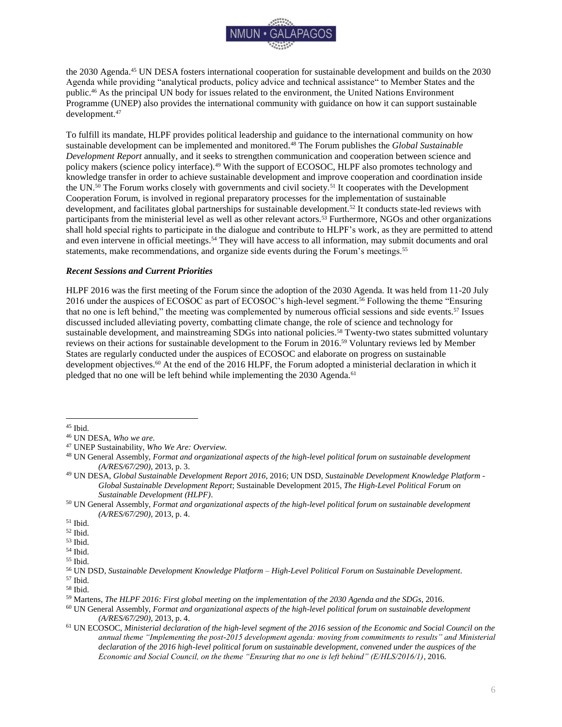

Management plans are underway in every region of the world," demonstrating universal commitment to SDG 6.<sup>246</sup> Geographical blocs such as the African, Latin American, and Caribbean regions, comprised mostly of developing countries, are enhancing South-South cooperation.<sup>247</sup> The goal of this type of cooperation is to share information, including technology, methods, and techniques, for the purpose of improving access to safe water and sanitation.<sup>248</sup> In fact, one of the most effective actions taking place in regard to water and sanitation are the alliances being maintained both within and among geographical organizations.<sup>249</sup> These alliances have produced a tangible increase in political leadership and awareness.<sup>250</sup>

#### *Urban Environments and Growing Populations*

Urbanization is one of the biggest drivers of employment and opportunities, helping improve the economic situation of thousands of people worldwide.<sup>251</sup> However, rapid urbanization also "adds pressure to the resource base, and increases demand for energy, water, and sanitation."<sup>252</sup> With this in mind, in order to achieve sustainable development, the coordination and integration of several elements is necessary, such as land use, food security, employment creation, water conservation, waste and recycling management, and the provision of education, health care, and housing.<sup>253</sup> Humanity will continue to face challenges over time, as "growing populations, rising incomes, and expanding cities will create a world where the demand for water rises exponentially, while supply becomes more erratic and uncertain."<sup>254</sup> It is projected that the world's population will reach 8.5 billion by 2030, 9.7 billion over the next 20 years, and 11.2 billion by the end of the century.<sup>255</sup> The loss of 5.2 million hectares of forest in 2010 represents a possible threat to water and sanitation for all humanity since urban environments are growing, affecting natural areas, and demanding even more resources.<sup>256</sup> Indeed, if the world cannot change the course of human and urban growth, projections suggest that it may face a 40% deficit in water availability by 2030, and "economic growth in some regions may be cut by 6% due to water scarcity alone."<sup>257</sup>

#### *Natural Disasters and Water Scarcity*

Based on climate change and current trends, water scarcity will likely spread to many as yet unaffected countries, and it will worsen in those where it is already an issue.<sup>258</sup> Furthermore, if climate change continues to affect weather patterns, the incidence of severe drought will increase.<sup>259</sup> As part of a chain reaction, this will also affect agriculture, prolonging the time it takes for products to become consumable and therefore posing a potential threat to global food security.<sup>260</sup> Likewise, water scarcity could increase the likelihood of political, social, and economic tensions among countries.<sup>261</sup>

#### *Technology*

Technology and science are crucial to sustainable development.*<sup>262</sup>* Development, deployment, and diffusion of technologies that fit with an environmental perspective are necessary for the achievement of the SDGs.*<sup>263</sup>* Therefore, "affordable technological solutions have to be developed and disseminated widely," including for the benefit of

 $\overline{a}$ 

<sup>256</sup> Ibid*.*

<sup>246</sup> UN DESA, *The Sustainable Development Goals Report 2016*, 2016, p. 6.

<sup>247</sup> UN HLPF, *Input from the Economic Commission for Africa to the high-level political forum on sustainable development (E/HLPF/2017/1/Add.4)*, 2017.

<sup>248</sup> UN HLPF*, Input from the Economic Commission for Latin America and the Caribbean to the high-level political forum on sustainable development (E/HLPF/2017/1/Add.3)*, 2017.

<sup>249</sup> UN HLPF, *Input from the Economic Commission for Africa to the high-level political forum on sustainable development (E/HLPF/2017/1/Add.4)*, 2017.

<sup>250</sup> Ibid.

<sup>251</sup> UN DESA, *World Economic and Social Survey 2013: Sustainable Development Challenges*, 2013, p. ix.

 $\,$  252 Ibid.

<sup>253</sup> Ibid., p. x.

<sup>254</sup> World Bank Group, *High and Dry: Climate Change, Water, and the Economy,* p. vi.

<sup>255</sup> UN DESA, *World Population projected to reach 9.7 billion by 2050*, 2015.

<sup>257</sup> High Level Panel on Water, *World Water Data Initiative Roadmap,* p. 5.

<sup>258</sup> High Level Panel on Water, *Action Plan,* 2016, p. 8.

 $259$  Ibid.

<sup>260</sup> Ibid.

<sup>261</sup> Ibid.

<sup>262</sup> UN DESA, *Technology*, 2017.

<sup>263</sup> Ibid.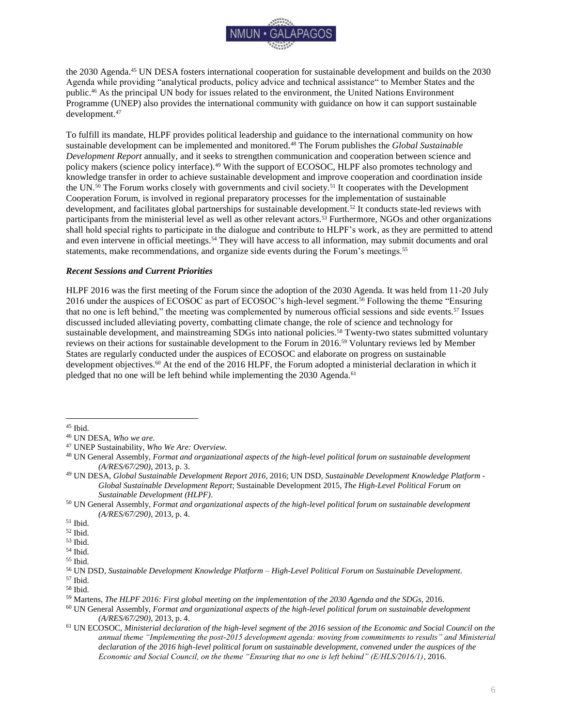

ensuring availability and sustainable management of water and sanitation for all in line with SDG 6.*<sup>264</sup>* SDG target 6.b specifically notes the importance of capacity-building for developing countries in relation to "water harvesting, desalination, water efficiency, wastewater treatment, recycling and reuse technologies."*<sup>265</sup>* Although technology required to support the implementation of SDG 6 already exists, it is often not effectively used: for instance, "rainwater harvesting relies on low cost and easy-to-manage technology; it could be more widely employed where groundwater is scarce."*<sup>266</sup>* The potential contribution of information and communications technology (ICT) has also yet to be fully explored, especially in relation to data collection and monitoring that could better inform strategies to increase access to water and sanitation.*<sup>267</sup>*

#### <span id="page-29-0"></span>*Conclusion*

After the expiry of the *Millennium Declaration* and its eight MDGs, the post-2015 development agenda was set in motion to keep on building on the progress already made.<sup>268</sup> The *2030 Agenda for Sustainable Development* established a continued global commitment to achieving real success based on the 17 SDGs and 169 targets.<sup>269</sup> Among these, the sixth SDG tackles one of the most important topics: ensuring availability and sustainable management of water and sanitation for all.<sup>270</sup> After years of having their importance underestimated, water and sanitation now are human rights and receiving the attention they deserve.<sup>271</sup> They have in fact emerged as priority issues due to their connection with almost every other SDG.<sup>272</sup> For example, SDG 11 illustrates the relationship between water and sanitation and the ideal of having sustainable cities.<sup>273</sup> SDG 3, which focuses on health and well-being, is also directly connected, since water and sanitation are essential to the proper functioning of a living body.<sup>274</sup> In light of such considerations, it is of great significance to state that many actions involving various actors are underway.<sup>275</sup> Throughout different UN entities, frameworks, and conferences, among others, it is being shown that the planet and human beings are approaching the goal of sustainable development. It must be mentioned that current efforts are producing positive outcomes, such as a growing percentage of the global population that now has safer water and better sanitation services.<sup>276</sup> This type of progress occurs not only through effective actions but also as a result of financing this noble cause.<sup>277</sup> Finally, it is important to acknowledge that the SDGs function in a manner similar to a chain reaction, especially with regard to water and sanitation, since these issues are at the very core of sustainable development.<sup>278</sup> Failure to achieve SDG 6 could put all of the other goals at risk.<sup>279</sup>

#### <span id="page-29-1"></span>*Further Research*

It is crucial for delegates to remain aware of relevant ongoing developments, as the 2030 Agenda is in just its second year of existence, and many actions remain to be implemented over the next 13 years. Delegates should be up to date on the progress of SDG 6 in particular. How can HLPF bring together organizations, institutions, and other

<sup>264</sup> Ibid.

<sup>265</sup> UN General Assembly, *Transforming our world: the 2030 Agenda for Sustainable Development (A/RES/70/1)*, 2015.

<sup>266</sup> United Kingdom, *Access to Water and Sanitation*, 2016.

<sup>267</sup> Ibid.

<sup>268</sup> UN Conference on Sustainable Development, *Report of the United Nations Conference on Sustainable Development (A/CONF.216/16)*, 2012.

<sup>269</sup> UN ECOSOC, *Ministerial declaration of the high-level segment of the 2016 session of the Economic and Social Council on the annual theme "Implementing the post-2015 development agenda: moving from commitments to results" and Ministerial declaration of the 2016 high-level political forum on sustainable development, convened under the auspices of the Economic and Social Council, on the theme "Ensuring that no one is left behind"* (*E/HLS/2016/1)*, 2016.

<sup>270</sup> UN Conference on Sustainable Development, *Report of the United Nations Conference on Sustainable Development (A/CONF.216/16)*, 2012.

<sup>271</sup> UN Regional Information Centre for Western Europe, *Making water a human right*, 2017.

<sup>272</sup> World Bank Group, *High and Dry: Climate Change, Water, and the Economy*, p. 3.

<sup>273</sup> UN-Water, *Integrated Monitoring Guide for SDG 6: Targets and global indicators*, 2016, p. 21.

<sup>274</sup> UN Conference on Sustainable Development, *Report of the United Nations Conference on Sustainable Development (A/CONF.216/16)*, 2012.

<sup>275</sup> UN DESA, *Expert Group Meeting: Enhancing Major Groups and Other Stakeholders (MGoS) Engagement in National Level Reviews*, 2017, p. 2.

<sup>276</sup> UN DESA, *The Sustainable Development Goals Report 2016*, 2016, p. 22.

<sup>277</sup> UN-Water, *Integrated Monitoring Guide for SDG 6: Targets and global indicators*, 2016, p. 21.

<sup>278</sup> Ibid.

<sup>279</sup> Ibid.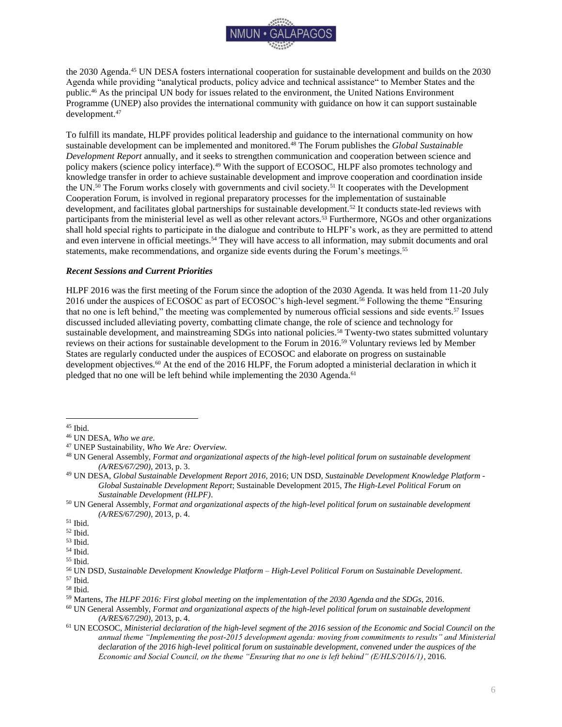

major groups to come together in pursuit of SDG 6? How can monitoring and reporting of progress towards SDG 6 be improved? How can the international community facilitate technology development and transfer to assist developing countries with achieving SDG 6?

# **Annotated Bibliography**

<span id="page-30-0"></span>Bos, R., et al. (2016). *Manual of the Human Rights to Safe Drinking Water and Sanitation for Practitioners.*  International Water Association*.* Retrieved 31 May 2017 from[: http://www.iwa-network.org/wp](http://www.iwa-network.org/wp-content/uploads/2016/08/Manual-Human-Right-Water-Sanitation.pdf)[content/uploads/2016/08/Manual-Human-Right-Water-Sanitation.pdf](http://www.iwa-network.org/wp-content/uploads/2016/08/Manual-Human-Right-Water-Sanitation.pdf)

*This manual summarizes the discussion of water and sanitation in relation to human rights. It notably includes insights from Léo Heller, United Nations Special Rapporteur on the human right*  to safe drinking water and sanitation. This document is particularly effective in its description of *water and sanitation as human rights and the way in which states should protect, respect, and promote them. It provides a different view of the topic that both contrasts with and supports the development perspective. Delegates will find in this document a rights-based perspective on the implementation of SDG 6.*

High Level Panel on Water. (2016). *Action Plan.* Retrieved 23 May 2017 from:

[https://sustainabledevelopment.un.org/content/documents/11280HLPW\\_Action\\_Plan\\_DEF\\_11-1.pdf](https://sustainabledevelopment.un.org/content/documents/11280HLPW_Action_Plan_DEF_11-1.pdf) *Secretary-General Ban Ki-moon and the President of the World Bank decided that the creation of the High-Level Panel on Water would contribute significantly to the achievement of SDG 6. In this document, the Panel acknowledges that water is the issue that connects various other topics, such as public health, food security, well-being, and climate action. However, the Panel also recognizes the challenges that they face. The Panel is composed of 12 high-level representatives from different countries. This document will provide relevant information for delegates to see the way in which different SDGs are connected through SDG 6.*

United Nations, Economic and Social Council, 2017 session. (2017). *Progress towards the Sustainable Development Goal: Report of the Secretary-General (E/2017/66)*. Retrieved 30 August 2017 from:<http://undocs.org/E/2017/66> *This is the most recent report of the Secretary-General assessing the progress and achievements towards the SDGs. It is crucial in the sense that it gives a concrete and solid idea of how the 17 goals and 169 targets have been tackled. Likewise, the report provides states with an idea of*  where more effort is required. In order to demonstrate concrete global outcomes, the report *presents data to support the actions carried out. This report will help give delegates a clear idea of present and future actions for the implementation of the SDGs.*

United Nations, General Assembly, Sixty-ninth session. (2015). *Addis Ababa Action Agenda of the Third International Conference on Financing for Development (Addis Ababa Action Agenda) (A/RES/69/313)*. Retrieved 2 June 2017 from:<http://undocs.org/A/RES/69/313> *The* Addis Ababa Action Agenda *is of great relevance for the whole functioning of the Sustainable Development Goals, as it represents one of their main sources of funding. This document describes the compromises and partnerships to which states have committed to provide greater support to areas such as domestic, public, and private spaces. It also promotes deeper cooperation between countries. Delegates will find this a useful resource in researching in the topic of funding for the 2030 Agenda.*

United Nations, General Assembly, Seventieth session. (2015). *Transforming our world: the 2030 Agenda for Sustainable Development (A/RES/70/1).* Retrieved 2 June 2017 from[: http://undocs.org/A/RES/70/1](https://documents-dds-ny.un.org/doc/UNDOC/GEN/N15/291/89/PDF/N1529189.pdf?OpenElement)  *This resolution is of paramount importance since it establishes the shift from the Millennium Development Goals that expired in 2015. This resolution clearly establishes the new objectives for the international community. The* 2030 Agenda for Sustainable Development *determines the 17 new SDGs and the 169 targets that aim to focus international efforts more effectively on the issues that were pursued by the MDGs. In the same regard, this document reflects a deeper sense of engagement and ambition in terms of improving the condition of both people and the planet. Delegates will find this source useful as they explore issues related to establishing new goals for development, especially with regard to SDG 6.*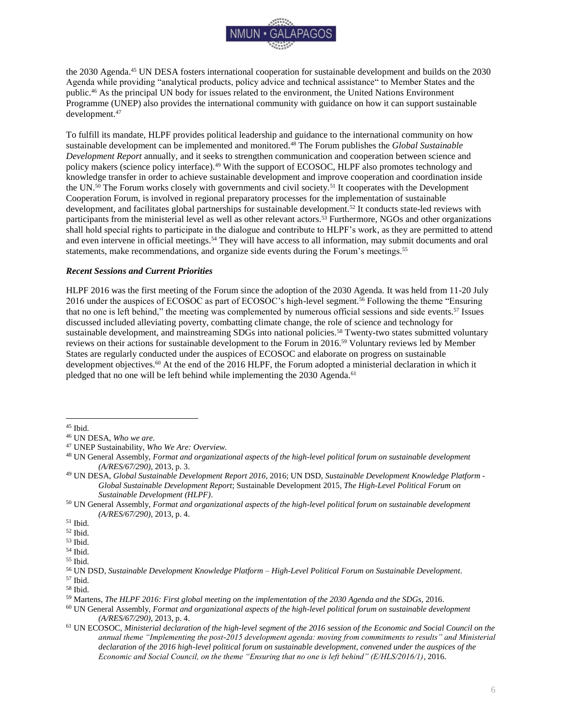

United Nations Water Conference. (1977). *Mar del Plata Action Plan*. Retrieved 31 May 2017 from: [http://internationalwaterlaw.org/bibliography/UN/UN\\_Mar%20del%20Plata%20Action%20Plan\\_1977.pdf](http://internationalwaterlaw.org/bibliography/UN/UN_Mar%20del%20Plata%20Action%20Plan_1977.pdf)

*The establishment of the* Mar del Plata Action Plan *was an integral part in the process of providing clean water and sanitation for all. The most important factor to highlight is that the UN Water Conference recognized water as a human right — official acknowledgment that gave the topic greater legitimacy in the political sphere. Moreover, the Action Plan demonstrates an increase in the detail and attention being given to topics such as the quality and efficient management of water.*

# **Bibliography**

<span id="page-31-0"></span>Bos, R., et al. (2016). *Manual of the Human Rights to Safe Drinking Water and Sanitation for Practitioners.*  International Water Association*.* Retrieved 31 May 2017 from[: http://www.iwa-network.org/wp](http://www.iwa-network.org/wp-content/uploads/2016/08/Manual-Human-Right-Water-Sanitation.pdf)[content/uploads/2016/08/Manual-Human-Right-Water-Sanitation.pdf](http://www.iwa-network.org/wp-content/uploads/2016/08/Manual-Human-Right-Water-Sanitation.pdf)

*Charter of the United Nations*. (1945). Retrieved 10 July 2017 from: <http://www.un.org/en/documents/charter/index.shtml>

High Level Panel on Water. (2016). *Action Plan.* Retrieved 23 May 2017 from: [https://sustainabledevelopment.un.org/content/documents/11280HLPW\\_Action\\_Plan\\_DEF\\_11-1.pdf](https://sustainabledevelopment.un.org/content/documents/11280HLPW_Action_Plan_DEF_11-1.pdf)

High Level Panel on Water. (2017). *World Water Data Initiative Roadmap.* Retrieved 4 June 2017 from: [https://sustainabledevelopment.un.org/content/documents/13327HLPW\\_WWDI\\_Roadmap.pdf](https://sustainabledevelopment.un.org/content/documents/13327HLPW_WWDI_Roadmap.pdf)

Organization of American States. (2016). *Inter-American Program for Sustainable Development (PIDS): 2016- 2021.* Retrieved 28 August 2017 from: [http://www.oas.org/en/sedi/pub/pids\\_2017.pdf](http://www.oas.org/en/sedi/pub/pids_2017.pdf)

Simavi. (n.d.). *Africa's Civil Society agree to support implementation of SDG6 and N'gor Declaration* [Website]. Retrieved 28 August 2017 from: [https://simavi.org/long-read/africas-civil-society-agree-support-implementation](https://simavi.org/long-read/africas-civil-society-agree-support-implementation-sdg6-ngor-declaration/)[sdg6-ngor-declaration/](https://simavi.org/long-read/africas-civil-society-agree-support-implementation-sdg6-ngor-declaration/)

Southern African Development Community Water Sector: International Cooperating Partners Collaboration Portal. (2009). *The Africa Water Vision for 2025: Equitable and Sustainable Use of Water for Socioeconomic Development*. Retrieved 28 August 2017 from: [http://www.icp-confluence-sadc.org/documents/africa-water-vision-2025](http://www.icp-confluence-sadc.org/documents/africa-water-vision-2025-equitableand-sustainable-use-water-socio-economic-development) [equitableand-sustainable-use-water-socio-economic-development](http://www.icp-confluence-sadc.org/documents/africa-water-vision-2025-equitableand-sustainable-use-water-socio-economic-development)

UN-Water. (n.d.). *About UN-Water* [Website]. Retrieved 14 August 2017 from: [http://www.unwater.org/about](http://www.unwater.org/about-unwater/)[unwater/](http://www.unwater.org/about-unwater/)

UN-Water. (2016). *Integrated Monitoring Guide for SDG 6: Targets and global indicators*. Retrieved 31 August 2017 from:<http://www.unwater.org/publications/integrated-monitoring-guide-sdg-6/>

UN-Water. (2017). *Africa water and sanitation sector monitoring – training workshop in Accra* [News Article]. Retrieved 17 August 2017 from: [http://www.sdg6monitoring.org/news/2017/5/9/africa-water-and-sanitation-sector](http://www.sdg6monitoring.org/news/2017/5/9/africa-water-and-sanitation-sector-monitoring-training-workshop-in-accra)[monitoring-training-workshop-in-accra](http://www.sdg6monitoring.org/news/2017/5/9/africa-water-and-sanitation-sector-monitoring-training-workshop-in-accra)

United Kingdom of Great Britain and Northern Ireland, Parliamentary Office of Science and Technology. (2016). *Access to Water and Sanitation*. Retrieved 31 August 2017 from: <http://researchbriefings.files.parliament.uk/documents/POST-PN-0521/POST-PN-0521.pdf>

United Nations Conference on Sustainable Development. (2012). *Report of the United Nations Conference on Sustainable Development (A/CONF.216/16)*. Retrieved 25 May 2017 from:<http://undocs.org/A/CONF.216/16>

United Nations, Department of Economic and Social Affairs. (2013). *World Economic and Social Survey 2013: Sustainable Development Challenges* [Report]. Retrieved 8 July 2017 from: <https://sustainabledevelopment.un.org/content/documents/2843WESS2013.pdf>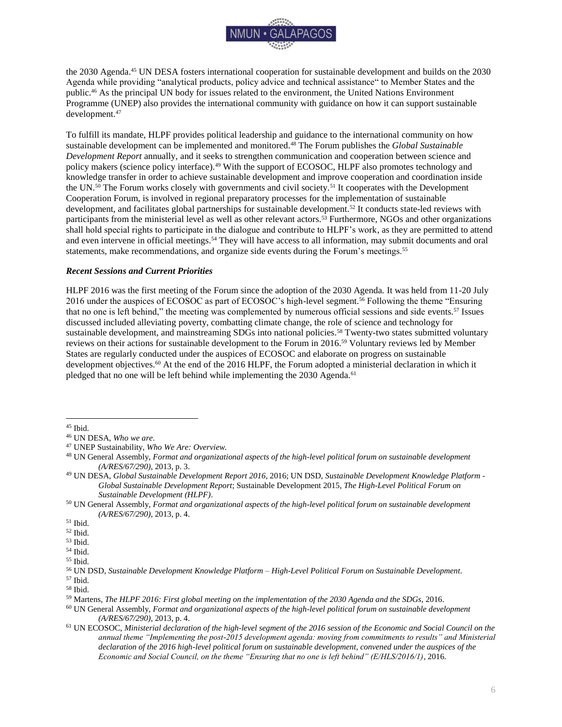

United Nations, Department of Economic and Social Affairs. (2015). *The Millennium Development Goals Report 2015*. Retrieved 31 August 2017 from: [http://www.un.org/millenniumgoals/2015\\_MDG\\_Report/pdf/MDG%202015%20rev%20\(July%201\).pdf](http://www.un.org/millenniumgoals/2015_MDG_Report/pdf/MDG%202015%20rev%20(July%201).pdf)

United Nations, Department of Economic and Social Affairs. (2015, July 29). *World Population projected to reach 9.7 billion by 2050* [News Article]. Retrieved 8 July 2017 from: <http://www.un.org/en/development/desa/news/population/2015-report.html>

United Nations, Department of Economic and Social Affairs. (2016). *The Sustainable Development Goals Report 2016.* Retrieved 8 July 2017 from: <https://unstats.un.org/sdgs/report/2016/The%20Sustainable%20Development%20Goals%20Report%202016.pdf>

United Nations, Department of Economic and Social Affairs. (2017). *Expert Group Meeting: Enhancing Major Groups and Other Stakeholders (MGoS) Engagement in National Level Reviews* [Report]*.* Retrieved 16 August 2017 from: [https://sustainabledevelopment.un.org/content/documents/13384Final%20-](https://sustainabledevelopment.un.org/content/documents/13384Final%20-%20EGM%20Outcome%20Document.pdf) [%20EGM%20Outcome%20Document.pdf](https://sustainabledevelopment.un.org/content/documents/13384Final%20-%20EGM%20Outcome%20Document.pdf)

United Nations, Department of Economic and Social Affairs. (2017). *Technology* [Website]. Retrieved 28 August 2017 from:<https://sustainabledevelopment.un.org/topics/technology>

United Nations, Department of Economic and Social Affairs. (2017, May 18). *UN moves to tap transformative power of science, technology and innovation to achieve Sustainable Development Goals* [News Article]. Retrieved 28 August 2017 from:<https://sustainabledevelopment.un.org/?page=view&nr=1286&type=230&menu=2059>

United Nations, Economic and Social Council, 2016 session. (2016). *Ministerial declaration of the high-level segment of the 2016 session of the Economic and Social Council on the annual theme "Implementing the post-2015 development agenda: moving from commitments to results" and Ministerial declaration of the 2016 high-level political forum on sustainable development, convened under the auspices of the Economic and Social Council, on the theme "Ensuring that no one is left behind"* (*E/HLS/2016/1)*. Retrieved 8 June 2017 from: [http://www.un.org/ga/search/view\\_doc.asp?symbol=E/HLS/2016/1](http://www.un.org/ga/search/view_doc.asp?symbol=E/HLS/2016/1)

United Nations, Economic and Social Council, 2016 session. (2016). *Progress towards the Sustainable Development Goal: Report of the Secretary-General (E/2016/75)*. Retrieved 2 June 2017 from:<http://undocs.org/E/2016/75>

United Nations, Economic and Social Council, 2017 session. (2017). *Progress towards the Sustainable Development Goal: Report of the Secretary-General (E/2017/66)*. Retrieved 30 August 2017 from: <http://undocs.org/E/2017/66>

United Nations Economic Commission for Europe. (2017). *Annotated provisional agenda for the first session. (ECE/AC.25/2017/1).* Retrieved 11 July 2017 from: [https://www.unece.org/fileadmin/DAM/sustainable](https://www.unece.org/fileadmin/DAM/sustainable-development/RFSD_2017/ECE_AC.25_2017_1-e.pdf)[development/RFSD\\_2017/ECE\\_AC.25\\_2017\\_1-e.pdf](https://www.unece.org/fileadmin/DAM/sustainable-development/RFSD_2017/ECE_AC.25_2017_1-e.pdf)

United Nations, General Assembly, Third session. (1948). *Universal Declaration of Human Rights (A/RES/217 A (III))*. Retrieved 26 May 2017 from:<http://www.un.org/en/documents/udhr/>

United Nations, General Assembly, Forty-first session. (1986). *Declaration on the Right to Development (A/RES/41/128)*. Adopted on the report of the Third Committee (A/41/925). Retrieved Day Month Year from: <http://undocs.org/A/RES/41/128>

United Nations, General Assembly, Fifty-fifth session. (2000). *United Nations Millennium Declaration (A/RES/55/2)*. Retrieved 8 July 2017 from:<http://undocs.org/A/RES/55/2>

United Nations, General Assembly, Sixty-fourth session. (2010). *The human right to water and sanitation (A/RES/64/292)*. Retrieved 31 May 2017 from:<http://undocs.org/A/RES/64/292>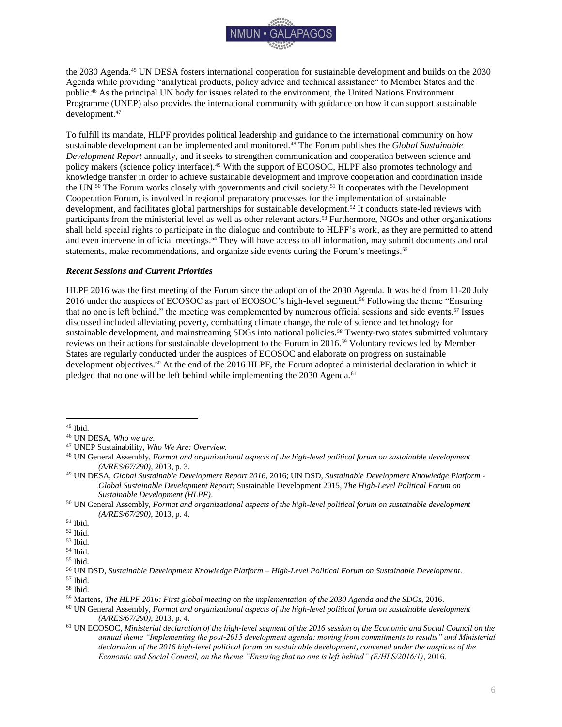

United Nations, General Assembly, Sixty-seventh session. (2013). *Format and organizational aspects of the highlevel political forum on sustainable development (A/RES/67/290)*. Retrieved 23 May 2017 from: <http://undocs.org/A/RES/67/290>

United Nations, General Assembly, Sixty-ninth session. (2015). *Addis Ababa Action Agenda of the Third International Conference on Financing for Development (Addis Ababa Action Agenda) (A/RES/69/313)*. Retrieved 2 June 2017 from:<http://undocs.org/A/RES/69/313>

United Nations, General Assembly, Seventieth session. (2015). *Transforming our world: the 2030 Agenda for Sustainable Development (A/RES/70/1).* Retrieved 2 June 2017 from[: http://undocs.org/A/RES/70/1](http://undocs.org/A/RES/70/1)

United Nations, High-level Political Forum on Sustainable Development. (2016). *Discussion papers on the theme of the high-level political forum on sustainable development, submitted by major groups and other stakeholders (E/HLPF/2016/2).* Retrieved 14 August 2017 from:<http://undocs.org/E/HLPF/2016/2>

United Nations, High-level Political Forum on Sustainable Development. (2017). *Input from the Economic Commission for Africa to the high-level political forum on sustainable development (E/HLPF/2017/1/Add.4)* [Report]. Retrieved 11 July 2017 from:<http://undocs.org/E/HLPF/2017/1/Add.4>

United Nations, High-level Political Forum on Sustainable Development. (2017). *Input from the Economic Commission for Latin America and the Caribbean to the high-level political forum on sustainable development (E/HLPF/2017/1/Add.3)* [Report]. Retrieved 11 July 2017 from:<http://undocs.org/E/HLPF/2017/1/Add.3>

United Nations, High-level Political Forum on Sustainable Development. (2017). *Reports of the regional forums on sustainable development (E/HLPF/2017/1)* [Report]. Retrieved 11 July 2017 from: <http://undocs.org/E/HLPF/2017/1>

United Nations Human Settlements Programme. (2017). *UN-HABITAT for the Sustainable Development Goals* [Website]. Retrieved 18 August 2017 from:<https://unhabitat.org/un-habitat-for-the-sustainable-development-goals/>

United Nations, International Conference on Financing for Development. (2002). *Monterrey Consensus on Financing for Development*. Retrieved 2 June 2017 from: <http://www.un.org/esa/ffd/monterrey/MonterreyConsensus.pdf>

United Nations Regional Information Centre for Western Europe. (2017). *Making water a human right* [Website]. Retrieved 14 August 2017 from:<http://www.unric.org/en/water/27360-making-water-a-human-right>

United Nations Water Conference. (1977). *Mar del Plata Action Plan*. Retrieved 31 May 2017 from: [http://internationalwaterlaw.org/bibliography/UN/UN\\_Mar%20del%20Plata%20Action%20Plan\\_1977.pdf](http://internationalwaterlaw.org/bibliography/UN/UN_Mar%20del%20Plata%20Action%20Plan_1977.pdf)

Watershed. (2017). *Achieving SDG 6 through empowering civil society organisations*. Retrieved 28 August 2017 from[: https://www.ircwash.org/sites/default/files/084-201623watershed\\_4pager02.pdf](https://www.ircwash.org/sites/default/files/084-201623watershed_4pager02.pdf)

World Bank Group. (2016). *Aid Flows to the Water Sector.* Retrieved 4 June 2017 from: [https://sustainabledevelopment.un.org/content/documents/11999HLP%20Aid%20Flows%20to%20the%20Water%2](https://sustainabledevelopment.un.org/content/documents/11999HLP%20Aid%20Flows%20to%20the%20Water%20Sector.pdf) [0Sector.pdf](https://sustainabledevelopment.un.org/content/documents/11999HLP%20Aid%20Flows%20to%20the%20Water%20Sector.pdf)

World Bank Group. (2016). *High and Dry: Climate Change, Water, and the Economy*. Retrieved 8 July 2017 from: <http://www.worldbank.org/en/topic/water/publication/high-and-dry-climate-change-water-and-the-economy>

World Health Organization. (2017). *World Health Statistics: 2017*. Retrieved 17 August 2017 from: <http://apps.who.int/iris/bitstream/10665/255336/1/9789241565486-eng.pdf?ua=1>

World Health Organization, Executive Board, 130<sup>th</sup> session. (2012). *United Nations Conference on Sustainable Development Rio +20*. Retrieved 25 May 2017 from: [http://apps.who.int/gb/ebwha/pdf\\_files/EB130/B130\\_36](http://apps.who.int/gb/ebwha/pdf_files/EB130/B130_36-en.pdf) [en.pdf](http://apps.who.int/gb/ebwha/pdf_files/EB130/B130_36-en.pdf)